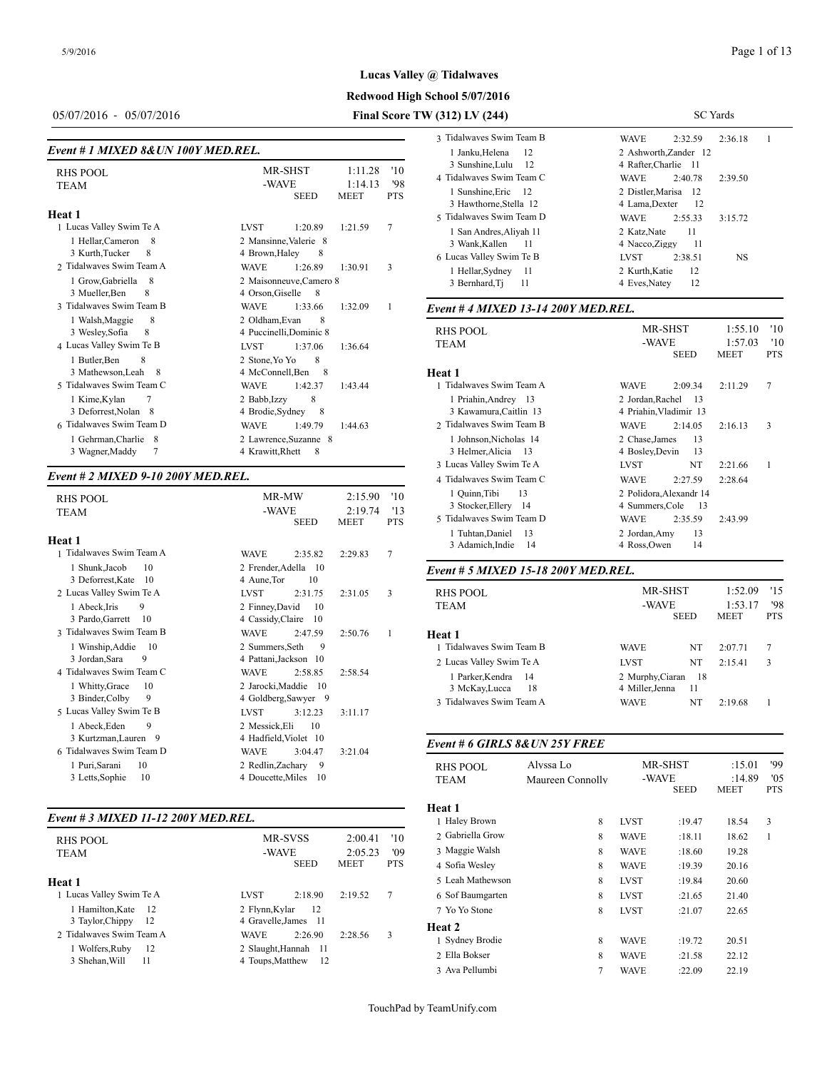# **Redwood High School 5/07/2016**

# 05/07/2016 - 05/07/2016 **Final Score TW (312) LV (244)**

| Event # 1 MIXED 8& UN 100Y MED.REL.                                                                                                        |                                                                                                                                                                     |                          | 110011100100001111111<br>1 Janku, Helena<br>12                                                                   | ***** <b>1</b><br>ے ب<br>2 Ashworth.Zande                                             |
|--------------------------------------------------------------------------------------------------------------------------------------------|---------------------------------------------------------------------------------------------------------------------------------------------------------------------|--------------------------|------------------------------------------------------------------------------------------------------------------|---------------------------------------------------------------------------------------|
| <b>RHS POOL</b><br><b>TEAM</b>                                                                                                             | MR-SHST<br>1:11.28<br>-WAVE<br>1:14.13<br><b>SEED</b><br><b>MEET</b>                                                                                                | '10<br>'98<br><b>PTS</b> | 3 Sunshine, Lulu<br>-12<br>4 Tidalwayes Swim Team C<br>1 Sunshine, Eric<br>12<br>3 Hawthorne, Stella 12          | 4 Rafter, Charlie<br><b>WAVE</b><br>2:40<br>2 Distler, Marisa<br>4 Lama, Dexter       |
| Heat 1<br>1 Lucas Valley Swim Te A<br>1 Hellar, Cameron<br>-8<br>3 Kurth, Tucker<br>8                                                      | <b>LVST</b><br>1:20.89<br>1:21.59<br>2 Mansinne, Valerie 8<br>4 Brown, Haley<br>8                                                                                   | $\overline{7}$           | 5 Tidalwaves Swim Team D<br>1 San Andres, Aliyah 11<br>3 Wank.Kallen<br>-11<br>6 Lucas Valley Swim Te B          | <b>WAVE</b><br>2:55<br>2 Katz, Nate<br>4 Nacco, Ziggy<br><b>LVST</b><br>2:38          |
| 2 Tidalwayes Swim Team A<br>1 Grow, Gabriella<br>8<br>3 Mueller, Ben<br>8                                                                  | <b>WAVE</b><br>1:26.89<br>1:30.91<br>2 Maisonneuve, Camero 8<br>4 Orson, Giselle<br>8                                                                               | 3                        | 1 Hellar, Sydney<br>-11<br>3 Bernhard, Ti<br>11                                                                  | 2 Kurth, Katie<br>4 Eves, Natey                                                       |
| 3 Tidalwayes Swim Team B<br>8<br>1 Walsh, Maggie<br>3 Wesley, Sofia<br>8<br>4 Lucas Valley Swim Te B                                       | <b>WAVE</b><br>1:33.66<br>1:32.09<br>2 Oldham, Evan<br>8<br>4 Puccinelli, Dominic 8<br><b>LVST</b><br>1:37.06<br>1:36.64                                            | -1                       | Event # 4 MIXED 13-14 200Y MED.REL.<br><b>RHS POOL</b><br>TEAM                                                   | MR-SHST<br>-WAVE<br><b>SEE</b>                                                        |
| 1 Butler, Ben<br>8<br>3 Mathewson, Leah 8<br>5 Tidalwayes Swim Team C<br>1 Kime, Kylan<br>3 Deforrest, Nolan 8<br>6 Tidalwayes Swim Team D | 8<br>2 Stone, Yo Yo<br>4 McConnell.Ben<br>8<br><b>WAVE</b><br>1:42.37<br>1:43.44<br>8<br>2 Babb, Izzy<br>-8<br>4 Brodie.Sydney<br><b>WAVE</b><br>1:49.79<br>1:44.63 |                          | Heat 1<br>1 Tidalwaves Swim Team A<br>1 Priahin, Andrey 13<br>3 Kawamura, Caitlin 13<br>2 Tidalwayes Swim Team B | <b>WAVE</b><br>2:09<br>2 Jordan, Rachel<br>4 Priahin. Vladimir<br><b>WAVE</b><br>2:14 |
| 1 Gehrman, Charlie 8<br>$\overline{7}$<br>3 Wagner, Maddy                                                                                  | 2 Lawrence, Suzanne 8<br>4 Krawitt, Rhett<br>8                                                                                                                      |                          | 1 Johnson, Nicholas 14<br>3 Helmer, Alicia<br>-13                                                                | 2 Chase, James<br>4 Bosley, Devin                                                     |

## *Event # 2 MIXED 9-10 200Y MED.REL.*

| <b>RHS POOL</b><br><b>TEAM</b>                                              | MR-MW<br>2:15.90<br>'10<br>-WAVE<br>'13<br>2:19.74<br><b>PTS</b><br><b>SEED</b><br><b>MEET</b> | 1 Quinn, Tibi<br>3 Stocker, Eller<br>5 Tidalwaves Swi    |
|-----------------------------------------------------------------------------|------------------------------------------------------------------------------------------------|----------------------------------------------------------|
| Heat 1                                                                      |                                                                                                | 1 Tuhtan, Danie<br>3 Adamich, Ind                        |
| 1 Tidalwayes Swim Team A                                                    | 7<br>2:35.82<br>2:29.83<br><b>WAVE</b>                                                         |                                                          |
| 1 Shunk, Jacob<br>10<br>3 Deforrest, Kate<br>10                             | 2 Frender, Adella 10<br>10<br>4 Aune, Tor                                                      | Event # 5 MIXE                                           |
| 2 Lucas Valley Swim Te A                                                    | <b>LVST</b><br>3<br>2:31.75<br>2:31.05                                                         | <b>RHS POOL</b>                                          |
| 9<br>1 Abeck, Iris<br>3 Pardo, Garrett<br>10                                | 2 Finney, David<br>10<br>4 Cassidy, Claire<br>-10                                              | <b>TEAM</b>                                              |
| 3 Tidalwaves Swim Team B                                                    | <b>WAVE</b><br>2:47.59<br>2:50.76<br>1                                                         | Heat 1                                                   |
| 1 Winship, Addie<br>- 10<br>3 Jordan, Sara<br>9<br>4 Tidalwayes Swim Team C | 2 Summers, Seth<br>-9<br>4 Pattani, Jackson 10<br><b>WAVE</b><br>2:58.85<br>2:58.54            | 1 Tidalwaves Swi<br>2 Lucas Valley Sw<br>1 Parker, Kendr |
| 1 Whitty, Grace<br>10<br>3 Binder, Colby<br>9                               | 2 Jarocki, Maddie 10<br>4 Goldberg, Sawyer 9                                                   | 3 McKay, Lucc<br>3 Tidalwaves Swi                        |
| 5 Lucas Valley Swim Te B                                                    | <b>LVST</b><br>3:11.17<br>3:12.23                                                              |                                                          |
| 1 Abeck, Eden<br>9                                                          | 2 Messick, Eli<br>10                                                                           |                                                          |
| 3 Kurtzman, Lauren 9<br>6 Tidalwayes Swim Team D                            | 4 Hadfield, Violet 10<br>3:21.04<br><b>WAVE</b><br>3:04.47                                     | Event # 6 GIRL.                                          |
| 1 Puri, Sarani<br>10<br>3 Letts, Sophie<br>10                               | 2 Redlin, Zachary<br>- 9<br>4 Doucette, Miles<br>10                                            | <b>RHS POOL</b><br><b>TEAM</b>                           |

#### *Event # 3 MIXED 11-12 200Y MED.REL.*

|                          |                        |             |            | 1.1000111         |
|--------------------------|------------------------|-------------|------------|-------------------|
| <b>RHS POOL</b>          | MR-SVSS                | 2:00.41     | '10        | 2. Gabriella Grow |
| TEAM                     | -WAVE                  | 2:05.23     | '09        | 3 Maggie Walsh    |
|                          | <b>SEED</b>            | <b>MEET</b> | <b>PTS</b> | 4 Sofia Wesley    |
| <b>Heat 1</b>            |                        |             |            | 5 Leah Mathewso   |
| 1 Lucas Valley Swim Te A | 2:18.90<br><b>LVST</b> | 2:19.52     | 7          | 6 Sof Baumgarten  |
| 1 Hamilton.Kate<br>- 12  | 2 Flynn, Kylar<br>12   |             |            | 7 Yo Yo Stone     |
| 3 Taylor, Chippy<br>-12  | 4 Gravelle.James 11    |             |            | <b>Heat 2</b>     |
| 2 Tidalwayes Swim Team A | 2:26.90<br><b>WAVE</b> | 2:28.56     | 3          | 1 Sydney Brodie   |
| 1 Wolfers, Ruby<br>12    | 2 Slaught, Hannah 11   |             |            | 2 Ella Bokser     |
| 3 Shehan, Will<br>11     | 4 Toups, Matthew<br>12 |             |            | 2.4 111           |

| V (312) LV (244)                                              | <b>SC</b> Yards                                  |  |  |  |  |  |
|---------------------------------------------------------------|--------------------------------------------------|--|--|--|--|--|
| 3 Tidalwayes Swim Team B                                      | 2:36.18<br>1<br><b>WAVE</b><br>2:32.59           |  |  |  |  |  |
| 1 Janku, Helena<br>12<br>3 Sunshine, Lulu<br>-12              | 2 Ashworth.Zander 12<br>4 Rafter, Charlie 11     |  |  |  |  |  |
| 4 Tidalwayes Swim Team C                                      | 2:40.78<br>2:39.50<br><b>WAVE</b>                |  |  |  |  |  |
| 1 Sunshine. Eric<br>$\overline{12}$<br>3 Hawthorne, Stella 12 | 2 Distler.Marisa<br>- 12<br>4 Lama, Dexter<br>12 |  |  |  |  |  |
| 5 Tidalwaves Swim Team D                                      | <b>WAVE</b><br>3:15.72<br>2:55.33                |  |  |  |  |  |
| 1 San Andres, Aliyah 11<br>3 Wank, Kallen<br>11               | 11<br>2 Katz, Nate<br>11<br>4 Nacco, Ziggy       |  |  |  |  |  |
| 6 Lucas Valley Swim Te B                                      | 2:38.51<br><b>NS</b><br><b>LVST</b>              |  |  |  |  |  |
| 1 Hellar, Sydney<br>11<br>3 Bernhard, Ti<br>11                | 12<br>2 Kurth, Katie<br>12<br>4 Eves, Natev      |  |  |  |  |  |

| <b>RHS POOL</b><br><b>TEAM</b>                                                                    | '10<br>MR-SHST<br>1:55.10<br>-WAVE<br>1:57.03<br>'10<br>SEED<br><b>MEET</b><br><b>PTS</b>                      |
|---------------------------------------------------------------------------------------------------|----------------------------------------------------------------------------------------------------------------|
| Heat 1                                                                                            |                                                                                                                |
| 1 Tidalwaves Swim Team A                                                                          | 7<br><b>WAVE</b><br>2:09.34<br>2:11.29                                                                         |
| 1 Priahin, Andrey 13<br>3 Kawamura, Caitlin 13                                                    | 2 Jordan, Rachel<br>- 13<br>4 Priahin, Vladimir 13                                                             |
| 2 Tidalwayes Swim Team B                                                                          | 3<br><b>WAVE</b><br>2:14.05<br>2:16.13                                                                         |
| 1 Johnson, Nicholas 14<br>3 Helmer, Alicia 13                                                     | 13<br>2 Chase, James<br>4 Bosley, Devin<br>-13                                                                 |
| 3 Lucas Valley Swim Te A                                                                          | NT<br><b>LVST</b><br>1<br>2:21.66                                                                              |
| 4 Tidalwaves Swim Team C                                                                          | <b>WAVE</b><br>2:27.59<br>2:28.64                                                                              |
| 1 Quinn, Tibi<br>13<br>3 Stocker, Ellery 14<br>5 Tidalwaves Swim Team D<br>1 Tuhtan, Daniel<br>13 | 2 Polidora, Alexandr 14<br>4 Summers, Cole<br>- 13<br><b>WAVE</b><br>2:35.59<br>2:43.99<br>2 Jordan, Amy<br>13 |
| 3 Adamich, Indie<br>14                                                                            | 4 Ross.Owen<br>14                                                                                              |

#### *Event # 5 MIXED 15-18 200Y MED.REL.*

| <b>RHS POOL</b><br>TEAM  | MR-SHST<br>-WAVE | <b>SEED</b> | 1:52.09<br>1:53.17<br><b>MEET</b> | 15<br>'98<br><b>PTS</b> |  |
|--------------------------|------------------|-------------|-----------------------------------|-------------------------|--|
| Heat 1                   |                  |             |                                   |                         |  |
| 1 Tidalwaves Swim Team B | <b>WAVE</b>      | NT          | 2:07.71                           | 7                       |  |
| 2 Lucas Valley Swim Te A | <b>LVST</b>      | NT          | 2:15.41                           | 3                       |  |
| 1 Parker, Kendra<br>- 14 | 2 Murphy, Ciaran | 18          |                                   |                         |  |
| 3 McKay, Lucca<br>-18    | 4 Miller, Jenna  | 11          |                                   |                         |  |
| 3 Tidalwaves Swim Team A | <b>WAVE</b>      | NT          | 2:19.68                           |                         |  |
|                          |                  |             |                                   |                         |  |

## *Event # 6 GIRLS 8&UN 25Y FREE*

| RHS POOL<br><b>TEAM</b> | Alvssa Lo<br>Maureen Connolly | -WAVE       | MR-SHST     | :15.01<br>:14.89 | '99<br>'05 |  |
|-------------------------|-------------------------------|-------------|-------------|------------------|------------|--|
|                         |                               |             | <b>SEED</b> | <b>MEET</b>      | <b>PTS</b> |  |
| Heat 1                  |                               |             |             |                  |            |  |
| 1 Haley Brown           | 8                             | <b>LVST</b> | :19.47      | 18.54            | 3          |  |
| 2 Gabriella Grow        | 8                             | <b>WAVE</b> | :18.11      | 18.62            | 1          |  |
| 3 Maggie Walsh          | 8                             | <b>WAVE</b> | :18.60      | 19.28            |            |  |
| 4 Sofia Wesley          | 8                             | <b>WAVE</b> | :19.39      | 20.16            |            |  |
| 5 Leah Mathewson        | 8                             | <b>LVST</b> | :19.84      | 20.60            |            |  |
| 6 Sof Baumgarten        | 8                             | <b>LVST</b> | :21.65      | 21.40            |            |  |
| 7 Yo Yo Stone           | 8                             | <b>LVST</b> | :21.07      | 22.65            |            |  |
| <b>Heat 2</b>           |                               |             |             |                  |            |  |
| 1 Sydney Brodie         | 8                             | <b>WAVE</b> | :19.72      | 20.51            |            |  |
| 2 Ella Bokser           | 8                             | <b>WAVE</b> | :21.58      | 22.12            |            |  |
| 3 Ava Pellumbi          | 7                             | <b>WAVE</b> | :22.09      | 22.19            |            |  |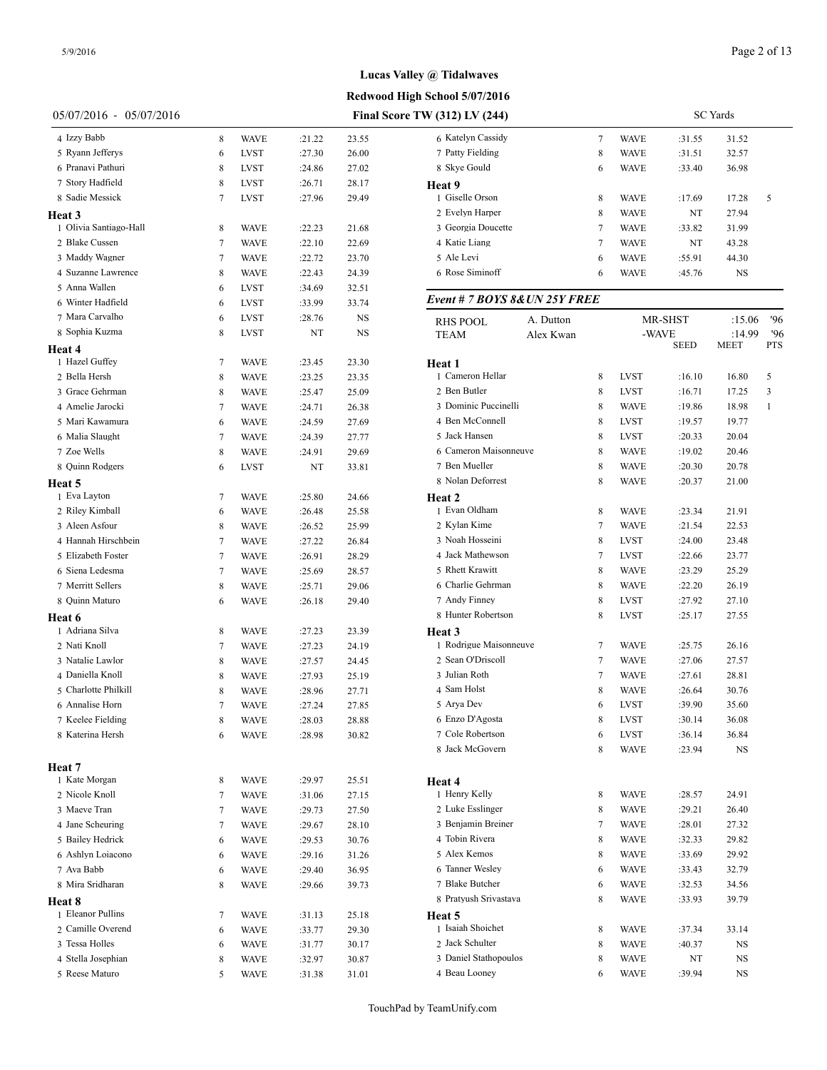**Redwood High School 5/07/2016**

| 05/07/2016 - 05/07/2016 |        |             |        |       | Final Score TW (312) LV (244)        |   |             |             | <b>SC</b> Yards |     |
|-------------------------|--------|-------------|--------|-------|--------------------------------------|---|-------------|-------------|-----------------|-----|
| 4 Izzy Babb             | 8      | <b>WAVE</b> | :21.22 | 23.55 | 6 Katelyn Cassidy                    | 7 | <b>WAVE</b> | :31.55      | 31.52           |     |
| 5 Ryann Jefferys        | 6      | <b>LVST</b> | :27.30 | 26.00 | 7 Patty Fielding                     | 8 | <b>WAVE</b> | :31.51      | 32.57           |     |
| 6 Pranavi Pathuri       | 8      | <b>LVST</b> | :24.86 | 27.02 | 8 Skye Gould                         | 6 | <b>WAVE</b> | :33.40      | 36.98           |     |
| 7 Story Hadfield        | 8      | <b>LVST</b> | :26.71 | 28.17 | Heat 9                               |   |             |             |                 |     |
| 8 Sadie Messick         | 7      | <b>LVST</b> | :27.96 | 29.49 | 1 Giselle Orson                      | 8 | <b>WAVE</b> | :17.69      | 17.28           | 5   |
| Heat 3                  |        |             |        |       | 2 Evelyn Harper                      | 8 | <b>WAVE</b> | NT          | 27.94           |     |
| 1 Olivia Santiago-Hall  | 8      | <b>WAVE</b> | :22.23 | 21.68 | 3 Georgia Doucette                   | 7 | <b>WAVE</b> | :33.82      | 31.99           |     |
| 2 Blake Cussen          | 7      | <b>WAVE</b> | :22.10 | 22.69 | 4 Katie Liang                        | 7 | <b>WAVE</b> | NT          | 43.28           |     |
| 3 Maddy Wagner          | 7      | <b>WAVE</b> | :22.72 | 23.70 | 5 Ale Levi                           | 6 | <b>WAVE</b> | :55.91      | 44.30           |     |
| 4 Suzanne Lawrence      | 8      | <b>WAVE</b> | :22.43 | 24.39 | 6 Rose Siminoff                      | 6 | <b>WAVE</b> | :45.76      | NS              |     |
| 5 Anna Wallen           | 6      | <b>LVST</b> | :34.69 | 32.51 |                                      |   |             |             |                 |     |
| 6 Winter Hadfield       | 6      | <b>LVST</b> | :33.99 | 33.74 | Event # 7 BOYS 8& UN 25Y FREE        |   |             |             |                 |     |
| 7 Mara Carvalho         | 6      | <b>LVST</b> | :28.76 | NS    | A. Dutton                            |   |             | MR-SHST     | :15.06          | 96  |
| 8 Sophia Kuzma          | 8      | <b>LVST</b> | NT     | NS    | RHS POOL<br>Alex Kwan<br><b>TEAM</b> |   | -WAVE       |             | :14.99          | '96 |
| Heat 4                  |        |             |        |       |                                      |   |             | <b>SEED</b> | <b>MEET</b>     | PTS |
| 1 Hazel Guffey          | 7      | <b>WAVE</b> | :23.45 | 23.30 | Heat 1                               |   |             |             |                 |     |
| 2 Bella Hersh           | 8      | <b>WAVE</b> | :23.25 | 23.35 | 1 Cameron Hellar                     | 8 | <b>LVST</b> | :16.10      | 16.80           | 5   |
| 3 Grace Gehrman         | 8      | <b>WAVE</b> | :25.47 | 25.09 | 2 Ben Butler                         | 8 | <b>LVST</b> | :16.71      | 17.25           | 3   |
| 4 Amelie Jarocki        |        | <b>WAVE</b> | :24.71 | 26.38 | 3 Dominic Puccinelli                 | 8 | <b>WAVE</b> | :19.86      | 18.98           | 1   |
| 5 Mari Kawamura         | 6      | <b>WAVE</b> | :24.59 | 27.69 | 4 Ben McConnell                      | 8 | <b>LVST</b> | :19.57      | 19.77           |     |
| 6 Malia Slaught         | 7      | <b>WAVE</b> | :24.39 | 27.77 | 5 Jack Hansen                        | 8 | <b>LVST</b> | :20.33      | 20.04           |     |
| 7 Zoe Wells             | 8      | <b>WAVE</b> | :24.91 | 29.69 | 6 Cameron Maisonneuve                | 8 | <b>WAVE</b> | :19.02      | 20.46           |     |
| 8 Quinn Rodgers         | 6      | <b>LVST</b> | NT     | 33.81 | 7 Ben Mueller                        | 8 | <b>WAVE</b> | :20.30      | 20.78           |     |
|                         |        |             |        |       | 8 Nolan Deforrest                    | 8 | <b>WAVE</b> | :20.37      | 21.00           |     |
| Heat 5<br>1 Eva Layton  |        |             |        |       |                                      |   |             |             |                 |     |
| 2 Riley Kimball         | 7      | <b>WAVE</b> | :25.80 | 24.66 | Heat 2<br>1 Evan Oldham              | 8 | <b>WAVE</b> | :23.34      | 21.91           |     |
| 3 Aleen Asfour          | 6      | <b>WAVE</b> | :26.48 | 25.58 | 2 Kylan Kime                         | 7 | <b>WAVE</b> |             | 22.53           |     |
| 4 Hannah Hirschbein     | 8      | <b>WAVE</b> | :26.52 | 25.99 | 3 Noah Hosseini                      | 8 | <b>LVST</b> | :21.54      |                 |     |
|                         | 7      | <b>WAVE</b> | :27.22 | 26.84 |                                      |   |             | :24.00      | 23.48           |     |
| 5 Elizabeth Foster      | 7      | <b>WAVE</b> | :26.91 | 28.29 | 4 Jack Mathewson                     | 7 | <b>LVST</b> | :22.66      | 23.77           |     |
| 6 Siena Ledesma         | 7      | <b>WAVE</b> | :25.69 | 28.57 | 5 Rhett Krawitt                      | 8 | <b>WAVE</b> | :23.29      | 25.29           |     |
| 7 Merritt Sellers       | 8      | <b>WAVE</b> | :25.71 | 29.06 | 6 Charlie Gehrman                    | 8 | <b>WAVE</b> | :22.20      | 26.19           |     |
| 8 Quinn Maturo          | 6      | <b>WAVE</b> | :26.18 | 29.40 | 7 Andy Finney                        | 8 | <b>LVST</b> | :27.92      | 27.10           |     |
| Heat 6                  |        |             |        |       | 8 Hunter Robertson                   | 8 | <b>LVST</b> | :25.17      | 27.55           |     |
| 1 Adriana Silva         | 8      | <b>WAVE</b> | :27.23 | 23.39 | Heat 3                               |   |             |             |                 |     |
| 2 Nati Knoll            | 7      | <b>WAVE</b> | :27.23 | 24.19 | 1 Rodrigue Maisonneuve               | 7 | <b>WAVE</b> | :25.75      | 26.16           |     |
| 3 Natalie Lawlor        | 8      | <b>WAVE</b> | :27.57 | 24.45 | 2 Sean O'Driscoll                    | 7 | <b>WAVE</b> | :27.06      | 27.57           |     |
| 4 Daniella Knoll        | 8      | <b>WAVE</b> | :27.93 | 25.19 | 3 Julian Roth                        | 7 | <b>WAVE</b> | :27.61      | 28.81           |     |
| 5 Charlotte Philkill    | 8      | <b>WAVE</b> | :28.96 | 27.71 | 4 Sam Holst                          | 8 | <b>WAVE</b> | :26.64      | 30.76           |     |
| 6 Annalise Horn         | $\tau$ | <b>WAVE</b> | :27.24 | 27.85 | 5 Arya Dev                           | 6 | <b>LVST</b> | :39.90      | 35.60           |     |
| 7 Keelee Fielding       | 8      | <b>WAVE</b> | :28.03 | 28.88 | 6 Enzo D'Agosta                      | 8 | <b>LVST</b> | :30.14      | 36.08           |     |
| 8 Katerina Hersh        | 6      | <b>WAVE</b> | :28.98 | 30.82 | 7 Cole Robertson                     | 6 | <b>LVST</b> | :36.14      | 36.84           |     |
|                         |        |             |        |       | 8 Jack McGovern                      | 8 | <b>WAVE</b> | :23.94      | NS              |     |
| Heat 7                  |        |             |        |       |                                      |   |             |             |                 |     |
| 1 Kate Morgan           | 8      | <b>WAVE</b> | :29.97 | 25.51 | Heat 4                               |   |             |             |                 |     |
| 2 Nicole Knoll          | 7      | <b>WAVE</b> | :31.06 | 27.15 | 1 Henry Kelly                        | 8 | <b>WAVE</b> | :28.57      | 24.91           |     |
| 3 Maeve Tran            | 7      | <b>WAVE</b> | :29.73 | 27.50 | 2 Luke Esslinger                     | 8 | <b>WAVE</b> | :29.21      | 26.40           |     |
| 4 Jane Scheuring        | 7      | <b>WAVE</b> | :29.67 | 28.10 | 3 Benjamin Breiner                   | 7 | <b>WAVE</b> | :28.01      | 27.32           |     |
| 5 Bailey Hedrick        | 6      | <b>WAVE</b> | :29.53 | 30.76 | 4 Tobin Rivera                       | 8 | <b>WAVE</b> | :32.33      | 29.82           |     |
| 6 Ashlyn Loiacono       | 6      | <b>WAVE</b> | :29.16 | 31.26 | 5 Alex Kemos                         | 8 | <b>WAVE</b> | :33.69      | 29.92           |     |
| 7 Ava Babb              | 6      | <b>WAVE</b> | :29.40 | 36.95 | 6 Tanner Wesley                      | 6 | <b>WAVE</b> | :33.43      | 32.79           |     |
| 8 Mira Sridharan        | 8      | <b>WAVE</b> | :29.66 | 39.73 | 7 Blake Butcher                      | 6 | <b>WAVE</b> | :32.53      | 34.56           |     |
| Heat 8                  |        |             |        |       | 8 Pratyush Srivastava                | 8 | <b>WAVE</b> | :33.93      | 39.79           |     |
| 1 Eleanor Pullins       | 7      | <b>WAVE</b> | :31.13 | 25.18 | Heat 5                               |   |             |             |                 |     |
| 2 Camille Overend       | 6      | <b>WAVE</b> | :33.77 | 29.30 | 1 Isaiah Shoichet                    | 8 | <b>WAVE</b> | :37.34      | 33.14           |     |
| 3 Tessa Holles          | 6      | <b>WAVE</b> | :31.77 | 30.17 | 2 Jack Schulter                      | 8 | <b>WAVE</b> | :40.37      | NS              |     |
| 4 Stella Josephian      | 8      | <b>WAVE</b> | :32.97 | 30.87 | 3 Daniel Stathopoulos                | 8 | <b>WAVE</b> | NT          | NS              |     |
| 5 Reese Maturo          | 5      | <b>WAVE</b> | :31.38 | 31.01 | 4 Beau Looney                        | 6 | <b>WAVE</b> | :39.94      | NS              |     |
|                         |        |             |        |       |                                      |   |             |             |                 |     |

| $V(312)$ LV $(244)$           | <b>SC</b> Yards |             |         |        |     |  |
|-------------------------------|-----------------|-------------|---------|--------|-----|--|
| 6 Katelyn Cassidy             | 7               | WAVE        | :31.55  | 31.52  |     |  |
| 7 Patty Fielding              | 8               | WAVE        | :31.51  | 32.57  |     |  |
| 8 Skye Gould                  | 6               | WAVE        | :33.40  | 36.98  |     |  |
| <b>Heat 9</b>                 |                 |             |         |        |     |  |
| 1 Giselle Orson               | 8               | WAVE        | :17.69  | 17.28  | 5   |  |
| 2 Evelyn Harper               | 8               | <b>WAVE</b> | NT      | 27.94  |     |  |
| 3 Georgia Doucette            | 7               | WAVE        | :33.82  | 31.99  |     |  |
| 4 Katie Liang                 | 7               | <b>WAVE</b> | NT      | 43.28  |     |  |
| 5 Ale Levi                    | 6               | WAVE        | :55.91  | 44.30  |     |  |
| 6 Rose Siminoff               | 6               | <b>WAVE</b> | :45.76  | NS     |     |  |
| Event # 7 BOYS 8& UN 25Y FREE |                 |             |         |        |     |  |
| A. Dutton<br><b>RHS POOL</b>  |                 |             | MR-SHST | :15.06 | '96 |  |
| TEAM<br>Alex Kwan             |                 | -WAVE       |         | :14.99 | '96 |  |
|                               |                 |             | SEED    | MEET   | PTS |  |
| Heat 1                        |                 |             |         |        |     |  |
| 1 Cameron Hellar              | 8               | <b>LVST</b> | :16.10  | 16.80  | 5   |  |
| 2 Ben Butler                  | 8               | LVST        | :16.71  | 17.25  | 3   |  |
| 3 Dominic Puccinelli          | 8               | <b>WAVE</b> | :19.86  | 18.98  | 1   |  |
| 4 Ben McConnell               | 8               | <b>LVST</b> | :19.57  | 19.77  |     |  |
| 5 Jack Hansen                 | 8               | LVST        | :20.33  | 20.04  |     |  |
| 6 Cameron Maisonneuve         | 8               | WAVE        | :19.02  | 20.46  |     |  |
| 7 Ben Mueller                 | 8               | <b>WAVE</b> | :20.30  | 20.78  |     |  |
| 8 Nolan Deforrest             | 8               | WAVE        | :20.37  | 21.00  |     |  |
| Heat 2                        |                 |             |         |        |     |  |
| 1 Evan Oldham                 | 8               | <b>WAVE</b> | :23.34  | 21.91  |     |  |
| 2 Kylan Kime                  | 7               | <b>WAVE</b> | :21.54  | 22.53  |     |  |
| 3 Noah Hosseini               | 8               | LVST        | :24.00  | 23.48  |     |  |
| 4 Jack Mathewson              | 7               | LVST        | :22.66  | 23.77  |     |  |
| 5 Rhett Krawitt               | 8               | WAVE        | :23.29  | 25.29  |     |  |
| 6 Charlie Gehrman             | 8               | <b>WAVE</b> | :22.20  | 26.19  |     |  |
| 7 Andy Finney                 | 8               | LVST        | :27.92  | 27.10  |     |  |
| 8 Hunter Robertson            | 8               | LVST        | :25.17  | 27.55  |     |  |
| Heat 3                        |                 |             |         |        |     |  |
| 1 Rodrigue Maisonneuve        | 7               | WAVE        | :25.75  | 26.16  |     |  |
| 2 Sean O'Driscoll             | 7               | <b>WAVE</b> | :27.06  | 27.57  |     |  |
| 3 Julian Roth                 | 7               | <b>WAVE</b> | :27.61  | 28.81  |     |  |
| 4 Sam Holst                   | 8               | WAVE        | :26.64  | 30.76  |     |  |
| 5 Arya Dev                    | 6               | <b>LVST</b> | :39.90  | 35.60  |     |  |
| 6 Enzo D'Agosta               | 8               | <b>LVST</b> | :30.14  | 36.08  |     |  |
| 7 Cole Robertson              | 6               | LVST        | :36.14  | 36.84  |     |  |
| 8 Jack McGovern               | 8               | <b>WAVE</b> | :23.94  | NS     |     |  |
| Heat 4                        |                 |             |         |        |     |  |
| 1 Henry Kelly                 | 8               | WAVE        | :28.57  | 24.91  |     |  |
| 2 Luke Esslinger              | 8               | WAVE        | :29.21  | 26.40  |     |  |
| 3 Benjamin Breiner            | 7               | WAVE        | :28.01  | 27.32  |     |  |
| 4 Tobin Rivera                | 8               | WAVE        | :32.33  | 29.82  |     |  |
| 5 Alex Kemos                  | 8               | <b>WAVE</b> | :33.69  | 29.92  |     |  |
| 6 Tanner Wesley               | 6               | <b>WAVE</b> | :33.43  | 32.79  |     |  |
| 7 Blake Butcher               | 6               | WAVE        | :32.53  | 34.56  |     |  |
| 8 Pratyush Srivastava         | 8               | <b>WAVE</b> | :33.93  | 39.79  |     |  |
| Heat 5                        |                 |             |         |        |     |  |
| 1 Isaiah Shoichet             | 8               | WAVE        | :37.34  | 33.14  |     |  |
| 2 Jack Schulter               | 8               | <b>WAVE</b> | :40.37  | NS     |     |  |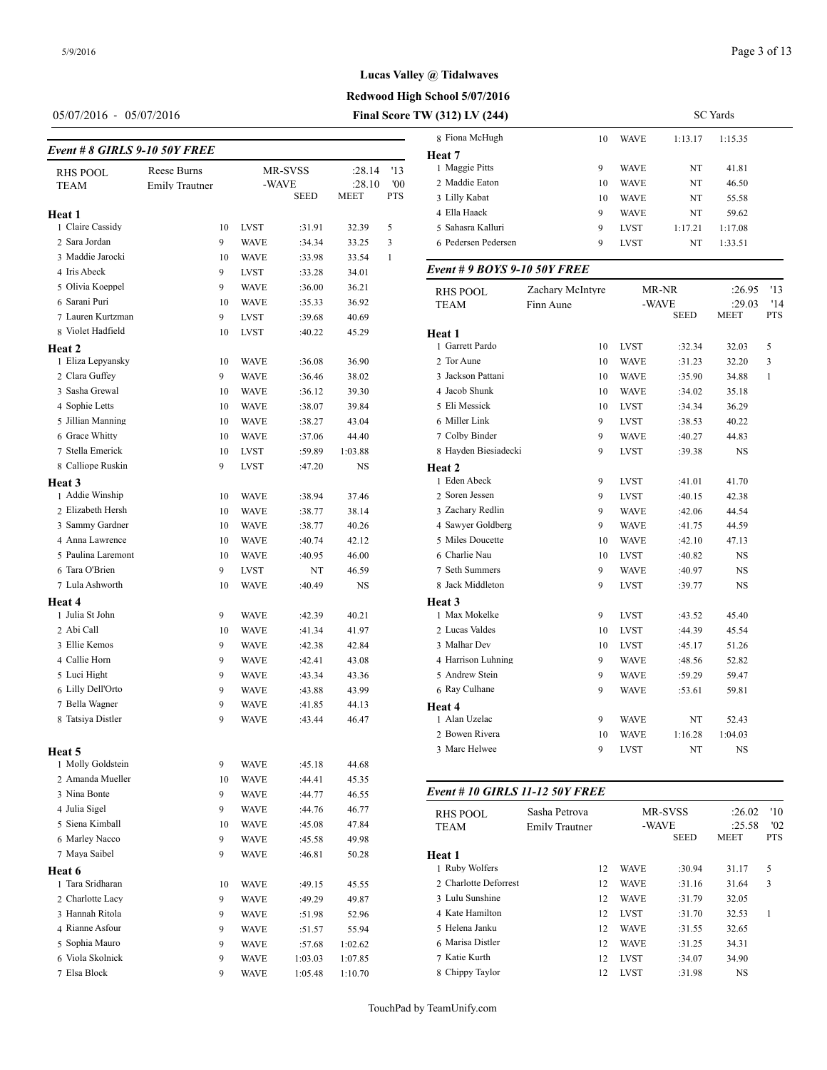**Heat 1**

**Heat 2**

**Heat 3**

**Heat 4**

05/07/2016 - 05/07/2016 **Final Score TW (312) LV (244)**

# *Event # 8 GIRLS 9-10 50Y FREE*

RHS POOL Reese Burns MR-SVSS :28.14 '13<br>TEAM Emily Trautner -WAVE :28.10 '00

1 Claire Cassidy 10 LVST :31.91 32.39 5 Sara Jordan 9 WAVE :34.34 33.25 3 Maddie Jarocki 10 WAVE :33.98 33.54 1 Iris Abeck 9 LVST :33.28 34.01 Olivia Koeppel 9 WAVE :36.00 36.21 Sarani Puri 10 WAVE :35.33 36.92 Lauren Kurtzman 9 LVST :39.68 40.69 8 Violet Hadfield 10 LVST :40.22 45.29

Emily Trautner -WAVE :28.10 '00<br>SEED MEET PTS

**MEET** 

SC Yards

# **Lucas Valley @ Tidalwaves**

**Redwood High School 5/07/2016**

| V (JIZ) LV (Z44)    |    |             |         | <b>SU</b> Taius |
|---------------------|----|-------------|---------|-----------------|
| 8 Fiona McHugh      | 10 | <b>WAVE</b> | 1:13.17 | 1:15.35         |
| Heat 7              |    |             |         |                 |
| 1 Maggie Pitts      | 9  | <b>WAVE</b> | NT      | 41.81           |
| 2 Maddie Eaton      | 10 | <b>WAVE</b> | NT      | 46.50           |
| 3 Lilly Kabat       | 10 | <b>WAVE</b> | NT      | 55.58           |
| 4 Ella Haack        | 9  | <b>WAVE</b> | NT      | 59.62           |
| 5 Sahasra Kalluri   | 9  | <b>LVST</b> | 1:17.21 | 1:17.08         |
| 6 Pedersen Pedersen | 9  | <b>LVST</b> | NT      | 1:33.51         |

#### *Event # 9 BOYS 9-10 50Y FREE*

| 5 Olivia Koeppel   | 9  | <b>WAVE</b> | :36.00 | 36.21     | <b>RHS POOL</b>      | Zachary McIntyre |             | MR-NR       | :26.95      | '13        |
|--------------------|----|-------------|--------|-----------|----------------------|------------------|-------------|-------------|-------------|------------|
| 6 Sarani Puri      | 10 | <b>WAVE</b> | :35.33 | 36.92     | <b>TEAM</b>          | Finn Aune        |             | -WAVE       | :29.03      | '14        |
| 7 Lauren Kurtzman  | 9  | <b>LVST</b> | :39.68 | 40.69     |                      |                  |             | <b>SEED</b> | <b>MEET</b> | <b>PTS</b> |
| 8 Violet Hadfield  | 10 | <b>LVST</b> | :40.22 | 45.29     | Heat 1               |                  |             |             |             |            |
| eat 2              |    |             |        |           | 1 Garrett Pardo      | 10               | <b>LVST</b> | :32.34      | 32.03       | 5          |
| 1 Eliza Lepyansky  | 10 | <b>WAVE</b> | :36.08 | 36.90     | 2 Tor Aune           | 10               | <b>WAVE</b> | :31.23      | 32.20       | 3          |
| 2 Clara Guffey     | 9  | <b>WAVE</b> | :36.46 | 38.02     | 3 Jackson Pattani    | 10               | <b>WAVE</b> | :35.90      | 34.88       |            |
| 3 Sasha Grewal     | 10 | <b>WAVE</b> | :36.12 | 39.30     | 4 Jacob Shunk        | 10               | <b>WAVE</b> | :34.02      | 35.18       |            |
| 4 Sophie Letts     | 10 | <b>WAVE</b> | :38.07 | 39.84     | 5 Eli Messick        | 10               | <b>LVST</b> | :34.34      | 36.29       |            |
| 5 Jillian Manning  | 10 | <b>WAVE</b> | :38.27 | 43.04     | 6 Miller Link        | 9                | <b>LVST</b> | :38.53      | 40.22       |            |
| 6 Grace Whitty     | 10 | <b>WAVE</b> | :37.06 | 44.40     | 7 Colby Binder       | 9                | <b>WAVE</b> | :40.27      | 44.83       |            |
| 7 Stella Emerick   | 10 | <b>LVST</b> | :59.89 | 1:03.88   | 8 Hayden Biesiadecki | 9                | <b>LVST</b> | :39.38      | <b>NS</b>   |            |
| 8 Calliope Ruskin  | 9  | <b>LVST</b> | :47.20 | <b>NS</b> | Heat 2               |                  |             |             |             |            |
| eat 3              |    |             |        |           | 1 Eden Abeck         | 9                | <b>LVST</b> | :41.01      | 41.70       |            |
| 1 Addie Winship    | 10 | <b>WAVE</b> | :38.94 | 37.46     | 2 Soren Jessen       | 9                | <b>LVST</b> | :40.15      | 42.38       |            |
| 2 Elizabeth Hersh  | 10 | <b>WAVE</b> | :38.77 | 38.14     | 3 Zachary Redlin     | 9                | <b>WAVE</b> | :42.06      | 44.54       |            |
| 3 Sammy Gardner    | 10 | <b>WAVE</b> | :38.77 | 40.26     | 4 Sawyer Goldberg    | 9                | <b>WAVE</b> | :41.75      | 44.59       |            |
| 4 Anna Lawrence    | 10 | <b>WAVE</b> | :40.74 | 42.12     | 5 Miles Doucette     | 10               | <b>WAVE</b> | :42.10      | 47.13       |            |
| 5 Paulina Laremont | 10 | <b>WAVE</b> | :40.95 | 46.00     | 6 Charlie Nau        | 10               | <b>LVST</b> | :40.82      | <b>NS</b>   |            |
| 6 Tara O'Brien     | 9  | <b>LVST</b> | NT     | 46.59     | 7 Seth Summers       | 9                | <b>WAVE</b> | :40.97      | <b>NS</b>   |            |
| 7 Lula Ashworth    | 10 | <b>WAVE</b> | :40.49 | <b>NS</b> | 8 Jack Middleton     | 9                | <b>LVST</b> | :39.77      | <b>NS</b>   |            |
| eat 4              |    |             |        |           | Heat 3               |                  |             |             |             |            |
| 1 Julia St John    | 9  | <b>WAVE</b> | :42.39 | 40.21     | 1 Max Mokelke        | 9                | <b>LVST</b> | :43.52      | 45.40       |            |
| 2 Abi Call         | 10 | <b>WAVE</b> | :41.34 | 41.97     | 2 Lucas Valdes       | 10               | <b>LVST</b> | :44.39      | 45.54       |            |
| 3 Ellie Kemos      | 9  | <b>WAVE</b> | :42.38 | 42.84     | 3 Malhar Dev         | 10               | <b>LVST</b> | :45.17      | 51.26       |            |
| 4 Callie Horn      | 9  | <b>WAVE</b> | :42.41 | 43.08     | 4 Harrison Luhning   | 9                | <b>WAVE</b> | :48.56      | 52.82       |            |
| 5 Luci Hight       | 9  | <b>WAVE</b> | :43.34 | 43.36     | 5 Andrew Stein       | 9                | <b>WAVE</b> | :59.29      | 59.47       |            |
| 6 Lilly Dell'Orto  | 9  | <b>WAVE</b> | :43.88 | 43.99     | 6 Ray Culhane        | 9                | <b>WAVE</b> | :53.61      | 59.81       |            |
| 7 Bella Wagner     | 9  | <b>WAVE</b> | :41.85 | 44.13     | Heat 4               |                  |             |             |             |            |
| 8 Tatsiya Distler  | 9  | <b>WAVE</b> | :43.44 | 46.47     | 1 Alan Uzelac        | 9                | <b>WAVE</b> | NT          | 52.43       |            |
|                    |    |             |        |           | 2 Bowen Rivera       | 10               | <b>WAVE</b> | 1:16.28     | 1:04.03     |            |
| eat 5              |    |             |        |           | 3 Marc Helwee        | 9                | <b>LVST</b> | NT          | <b>NS</b>   |            |
|                    |    |             |        |           |                      |                  |             |             |             |            |

#### *Event # 10 GIRLS 11-12 50Y FREE*

| RHS POOL<br><b>TEAM</b> | Sasha Petrova<br>Emily Trautner |             | MR-SVSS<br>-WAVE | :26.02<br>:25.58 | '10<br>'02 |
|-------------------------|---------------------------------|-------------|------------------|------------------|------------|
|                         |                                 |             | <b>SEED</b>      | <b>MEET</b>      | <b>PTS</b> |
| Heat 1                  |                                 |             |                  |                  |            |
| 1 Ruby Wolfers          | 12                              | <b>WAVE</b> | :30.94           | 31.17            | 5          |
| 2. Charlotte Deforrest  | 12                              | <b>WAVE</b> | :31.16           | 31.64            | 3          |
| 3 Lulu Sunshine         | 12                              | <b>WAVE</b> | :31.79           | 32.05            |            |
| 4 Kate Hamilton         | 12                              | <b>LVST</b> | :31.70           | 32.53            |            |
| 5 Helena Janku          | 12                              | <b>WAVE</b> | :31.55           | 32.65            |            |
| 6 Marisa Distler        | 12                              | <b>WAVE</b> | :31.25           | 34.31            |            |
| 7 Katie Kurth           | 12                              | <b>LVST</b> | :34.07           | 34.90            |            |
| 8 Chippy Taylor         | 12                              | <b>LVST</b> | :31.98           | <b>NS</b>        |            |
|                         |                                 |             |                  |                  |            |

| 8 Tatsiya Distler | 9  | <b>WAVE</b> | :43.44  | 46.47   | 1 Ala      |
|-------------------|----|-------------|---------|---------|------------|
|                   |    |             |         |         | 2 Boy      |
| Heat 5            |    |             |         |         | 3 Ma       |
| 1 Molly Goldstein | 9  | <b>WAVE</b> | :45.18  | 44.68   |            |
| 2 Amanda Mueller  | 10 | <b>WAVE</b> | :44.41  | 45.35   |            |
| 3 Nina Bonte      | 9  | <b>WAVE</b> | :44.77  | 46.55   | Event      |
| 4 Julia Sigel     | 9  | <b>WAVE</b> | :44.76  | 46.77   | <b>RHS</b> |
| 5 Siena Kimball   | 10 | <b>WAVE</b> | :45.08  | 47.84   | <b>TEA</b> |
| 6 Marley Nacco    | 9  | <b>WAVE</b> | :45.58  | 49.98   |            |
| 7 Maya Saibel     | 9  | <b>WAVE</b> | :46.81  | 50.28   | Heat 1     |
| Heat 6            |    |             |         |         | 1 Rub      |
| 1 Tara Sridharan  | 10 | <b>WAVE</b> | :49.15  | 45.55   | 2 Cha      |
| 2 Charlotte Lacy  | 9  | <b>WAVE</b> | :49.29  | 49.87   | 3 Lul      |
| 3 Hannah Ritola   | 9  | <b>WAVE</b> | :51.98  | 52.96   | 4 Kat      |
| 4 Rianne Asfour   | 9  | <b>WAVE</b> | :51.57  | 55.94   | 5 Hel      |
| 5 Sophia Mauro    | 9  | <b>WAVE</b> | :57.68  | 1:02.62 | 6 Ma       |
| 6 Viola Skolnick  | 9  | <b>WAVE</b> | 1:03.03 | 1:07.85 | 7 Kat      |
| 7 Elsa Block      | 9  | WAVE        | 1:05.48 | 1:10.70 | 8 Chi      |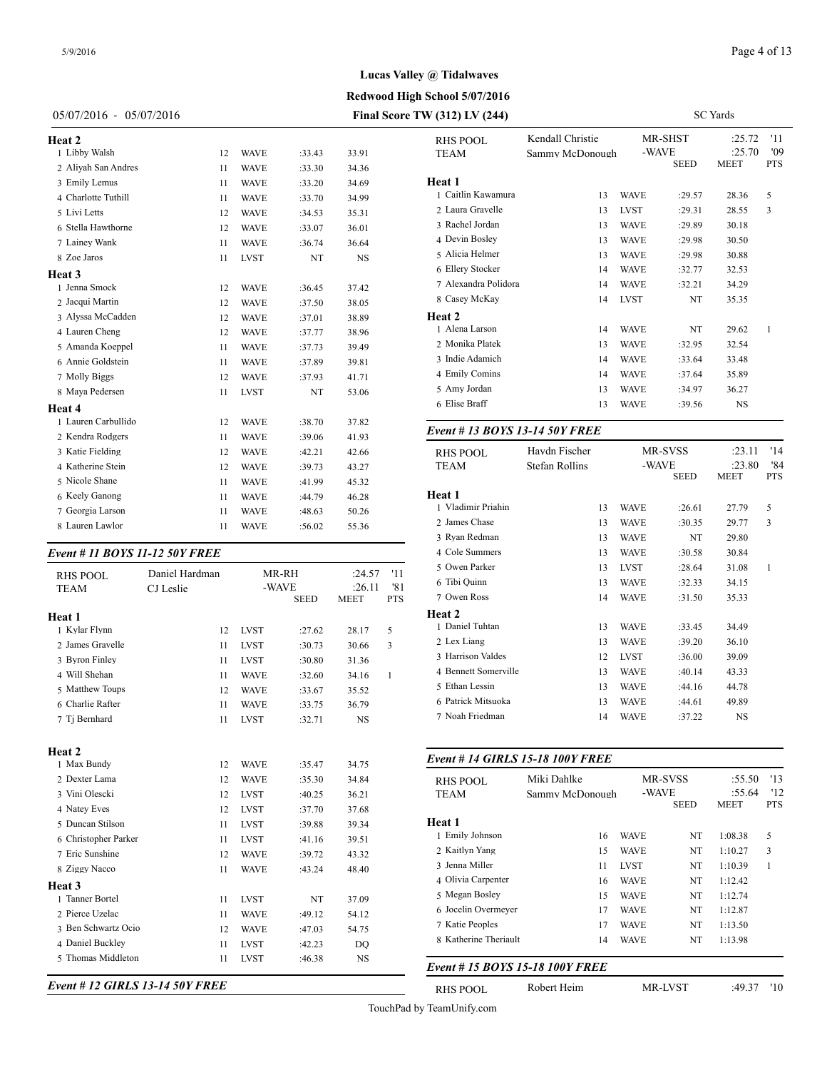# **Lucas Valley @ Tidalwaves**

**Redwood High School 5/07/2016**

| $05/07/2016 - 05/07/2016$ | Final Score TW (312) LV (244) |
|---------------------------|-------------------------------|
|---------------------------|-------------------------------|

| Heat 2              |    |             |        |           | <b>RHS PC</b>       |
|---------------------|----|-------------|--------|-----------|---------------------|
| 1 Libby Walsh       | 12 | <b>WAVE</b> | :33.43 | 33.91     | <b>TEAM</b>         |
| 2 Aliyah San Andres | 11 | <b>WAVE</b> | :33.30 | 34.36     |                     |
| 3 Emily Lemus       | 11 | <b>WAVE</b> | :33.20 | 34.69     | Heat 1              |
| 4 Charlotte Tuthill | 11 | <b>WAVE</b> | :33.70 | 34.99     | 1 Caitlin           |
| 5 Livi Letts        | 12 | <b>WAVE</b> | :34.53 | 35.31     | 2 Laura             |
| 6 Stella Hawthorne  | 12 | <b>WAVE</b> | :33.07 | 36.01     | 3 Rache             |
| 7 Lainey Wank       | 11 | <b>WAVE</b> | :36.74 | 36.64     | 4 Devin             |
| 8 Zoe Jaros         | 11 | <b>LVST</b> | NT     | <b>NS</b> | 5 Alicia            |
| Heat 3              |    |             |        |           | 6 Ellery            |
| 1 Jenna Smock       | 12 | <b>WAVE</b> | :36.45 | 37.42     | 7 Alexar            |
| 2 Jacqui Martin     | 12 | <b>WAVE</b> | :37.50 | 38.05     | 8 Casey             |
| 3 Alyssa McCadden   | 12 | <b>WAVE</b> | :37.01 | 38.89     | Heat 2              |
| 4 Lauren Cheng      | 12 | <b>WAVE</b> | :37.77 | 38.96     | 1 Alena             |
| 5 Amanda Koeppel    | 11 | <b>WAVE</b> | :37.73 | 39.49     | 2 Monik             |
| 6 Annie Goldstein   | 11 | <b>WAVE</b> | :37.89 | 39.81     | $3$ Indie $\lambda$ |
| 7 Molly Biggs       | 12 | <b>WAVE</b> | :37.93 | 41.71     | 4 Emily             |
| 8 Maya Pedersen     | 11 | <b>LVST</b> | NT     | 53.06     | 5 Amy J             |
| Heat 4              |    |             |        |           | 6 Elise I           |
| 1 Lauren Carbullido | 12 | <b>WAVE</b> | :38.70 | 37.82     |                     |
| 2 Kendra Rodgers    | 11 | <b>WAVE</b> | :39.06 | 41.93     | Event#              |
| 3 Katie Fielding    | 12 | <b>WAVE</b> | :42.21 | 42.66     | <b>RHS PC</b>       |
| 4 Katherine Stein   | 12 | <b>WAVE</b> | :39.73 | 43.27     | <b>TEAM</b>         |
| 5 Nicole Shane      | 11 | <b>WAVE</b> | :41.99 | 45.32     |                     |
| 6 Keely Ganong      | 11 | <b>WAVE</b> | :44.79 | 46.28     | Heat 1              |
| 7 Georgia Larson    | 11 | <b>WAVE</b> | :48.63 | 50.26     | 1 Vladir            |
| 8 Lauren Lawlor     | 11 | <b>WAVE</b> | :56.02 | 55.36     | 2 James             |
|                     |    |             |        |           |                     |

#### *Event # 11 BOYS 11-12 50Y FREE*

| <b>RHS POOL</b><br><b>TEAM</b>                                                                                                         | Daniel Hardman<br>CJ Leslie            |                                                                                                       | MR-RH<br>-WAVE<br><b>SEED</b>                                      | :24.57<br>:26.11<br><b>MEET</b>                                 | '11<br>'81<br><b>PTS</b> | 5 Owen Parker<br>6 Tibi Quinn<br>7 Owen Ross                                                                                                |
|----------------------------------------------------------------------------------------------------------------------------------------|----------------------------------------|-------------------------------------------------------------------------------------------------------|--------------------------------------------------------------------|-----------------------------------------------------------------|--------------------------|---------------------------------------------------------------------------------------------------------------------------------------------|
| Heat 1<br>1 Kylar Flynn<br>2 James Gravelle<br>3 Byron Finley<br>4 Will Shehan<br>5 Matthew Toups<br>6 Charlie Rafter<br>7 Ti Bernhard | 12<br>11<br>11<br>11<br>12<br>11<br>11 | <b>LVST</b><br><b>LVST</b><br><b>LVST</b><br><b>WAVE</b><br><b>WAVE</b><br><b>WAVE</b><br><b>LVST</b> | :27.62<br>:30.73<br>:30.80<br>:32.60<br>:33.67<br>:33.75<br>:32.71 | 28.17<br>30.66<br>31.36<br>34.16<br>35.52<br>36.79<br><b>NS</b> | 5<br>3<br>1              | Heat 2<br>1 Daniel Tuhtan<br>2 Lex Liang<br>3 Harrison Valdes<br>4 Bennett Somerv<br>5 Ethan Lessin<br>6 Patrick Mitsuok<br>7 Noah Friedman |
| Heat 2<br>1 Max Bundy<br>2 Dexter Lama                                                                                                 | 12<br>12                               | <b>WAVE</b><br><b>WAVE</b>                                                                            | :35.47<br>:35.30                                                   | 34.75<br>34.84                                                  |                          | Event # 14 GIRI<br><b>RHS POOL</b>                                                                                                          |
| 3 Vini Olescki<br>4 Natey Eves<br>5 Duncan Stilson                                                                                     | 12<br>12<br>11                         | <b>LVST</b><br><b>LVST</b><br><b>LVST</b>                                                             | :40.25<br>:37.70<br>:39.88                                         | 36.21<br>37.68<br>39.34                                         |                          | <b>TEAM</b><br>Heat 1                                                                                                                       |
| 6 Christopher Parker<br>7 Eric Sunshine<br>8 Ziggy Nacco                                                                               | 11<br>12<br>11                         | <b>LVST</b><br><b>WAVE</b><br><b>WAVE</b>                                                             | :41.16<br>:39.72<br>:43.24                                         | 39.51<br>43.32<br>48.40                                         |                          | 1 Emily Johnson<br>2 Kaitlyn Yang<br>3 Jenna Miller                                                                                         |
| Heat 3<br>1 Tanner Bortel<br>2 Pierce Uzelac                                                                                           | 11<br>11                               | <b>LVST</b><br><b>WAVE</b>                                                                            | NT<br>:49.12                                                       | 37.09<br>54.12                                                  |                          | 4 Olivia Carpenter<br>5 Megan Bosley<br>6 Jocelin Overmey                                                                                   |
| 3 Ben Schwartz Ocio<br>4 Daniel Buckley<br>5 Thomas Middleton                                                                          | 12<br>11<br>11                         | <b>WAVE</b><br><b>LVST</b><br><b>LVST</b>                                                             | :47.03<br>:42.23<br>:46.38                                         | 54.75<br>DO<br><b>NS</b>                                        |                          | 7 Katie Peoples<br>8 Katherine Theria<br>Event # 15 $BOY$                                                                                   |

| RHS POOL<br>TEAM                        | Kendall Christie<br>Sammy McDonough |    |             | MR-SHST<br>-WAVE | :25.72<br>:25.70 | '11<br>'09   |
|-----------------------------------------|-------------------------------------|----|-------------|------------------|------------------|--------------|
|                                         |                                     |    |             | SEED             | MEET             | PTS          |
| Heat 1                                  |                                     |    |             |                  |                  |              |
| 1 Caitlin Kawamura                      |                                     | 13 | WAVE        | :29.57           | 28.36            | 5            |
| 2 Laura Gravelle                        |                                     | 13 | LVST        | :29.31           | 28.55            | 3            |
| 3 Rachel Jordan                         |                                     | 13 | WAVE        | :29.89           | 30.18            |              |
| 4 Devin Bosley                          |                                     | 13 | WAVE        | :29.98           | 30.50            |              |
| 5 Alicia Helmer                         |                                     | 13 | <b>WAVE</b> | :29.98           | 30.88            |              |
| 6 Ellery Stocker                        |                                     | 14 | WAVE        | :32.77           | 32.53            |              |
| 7 Alexandra Polidora                    |                                     | 14 | <b>WAVE</b> | :32.21           | 34.29            |              |
| 8 Casey McKay                           |                                     | 14 | LVST        | NT               | 35.35            |              |
| Heat 2                                  |                                     |    |             |                  |                  |              |
| 1 Alena Larson                          |                                     | 14 | WAVE        | NT               | 29.62            | $\mathbf{1}$ |
| 2 Monika Platek                         |                                     | 13 | WAVE        | :32.95           | 32.54            |              |
| 3 Indie Adamich                         |                                     | 14 | <b>WAVE</b> | :33.64           | 33.48            |              |
| 4 Emily Comins                          |                                     | 14 | <b>WAVE</b> | :37.64           | 35.89            |              |
| 5 Amy Jordan                            |                                     | 13 | WAVE        | :34.97           | 36.27            |              |
| 6 Elise Braff                           |                                     | 13 | WAVE        | :39.56           | NS               |              |
| Event # 13 BOYS 13-14 50Y FREE          |                                     |    |             |                  |                  |              |
| <b>RHS POOL</b>                         | Haydn Fischer                       |    |             | MR-SVSS          | :23.11           | '14          |
| TEAM                                    | Stefan Rollins                      |    |             | -WAVE            | :23.80           | '84          |
|                                         |                                     |    |             | SEED             | MEET             | PTS          |
| Heat 1                                  |                                     |    |             |                  |                  |              |
| 1 Vladimir Priahin                      |                                     | 13 | WAVE        | :26.61           | 27.79            | 5            |
| 2 James Chase                           |                                     | 13 | WAVE        | :30.35           | 29.77            | 3            |
| 3 Ryan Redman                           |                                     | 13 | WAVE        | NT               | 29.80            |              |
| 4 Cole Summers                          |                                     | 13 | WAVE        | :30.58           | 30.84            |              |
| 5 Owen Parker                           |                                     | 13 | LVST        | :28.64           | 31.08            | $\mathbf{1}$ |
| 6 Tibi Quinn                            |                                     | 13 | WAVE        | :32.33           | 34.15            |              |
| 7 Owen Ross                             |                                     | 14 | WAVE        | :31.50           | 35.33            |              |
| Heat 2                                  |                                     |    |             |                  |                  |              |
| 1 Daniel Tuhtan                         |                                     | 13 | WAVE        | :33.45           | 34.49            |              |
| 2 Lex Liang                             |                                     | 13 | WAVE        | :39.20           | 36.10            |              |
| 3 Harrison Valdes                       |                                     | 12 | LVST        | :36.00           | 39.09            |              |
| 4 Bennett Somerville                    |                                     | 13 | WAVE        | :40.14           | 43.33            |              |
| 5 Ethan Lessin                          |                                     | 13 | WAVE        | :44.16           | 44.78            |              |
| 6 Patrick Mitsuoka                      |                                     | 13 | WAVE        | :44.61           | 49.89            |              |
| 7 Noah Friedman                         |                                     | 14 | WAVE        | :37.22           | NS               |              |
| <b>Event # 14 GIRLS 15-18 100Y FREE</b> |                                     |    |             |                  |                  |              |
| <b>RHS POOL</b>                         | Miki Dahlke                         |    |             | MR-SVSS          | :55.50           | '13          |
| TEAM                                    | Sammy McDonough                     |    |             | -WAVE            | :55.64           | '12          |
|                                         |                                     |    |             | <b>SEED</b>      | MEET             | <b>PTS</b>   |
| Heat 1                                  |                                     |    |             |                  |                  |              |
| 1 Emily Johnson                         |                                     | 16 | <b>WAVE</b> | NT               | 1:08.38          | 5            |
| 2 Kaitlyn Yang                          |                                     | 15 | <b>WAVE</b> | NT               | 1:10.27          | 3            |
| 3 Jenna Miller                          |                                     | 11 | LVST        | NT               | 1:10.39          | 1            |
| 4 Olivia Carpenter                      |                                     | 16 | <b>WAVE</b> | NT               | 1:12.42          |              |

 Megan Bosley 15 WAVE NT 1:12.74 Jocelin Overmeyer 17 WAVE NT 1:12.87 Katie Peoples 17 WAVE NT 1:13.50 8 Katherine Theriault 14 WAVE NT 1:13.98 *Event # 15 BOYS 15-18 100Y FREE*

## *Event # 12 GIRLS 13-14 50Y FREE*

TouchPad by TeamUnify.com

RHS POOL Robert Heim MR-LVST :49.37 '10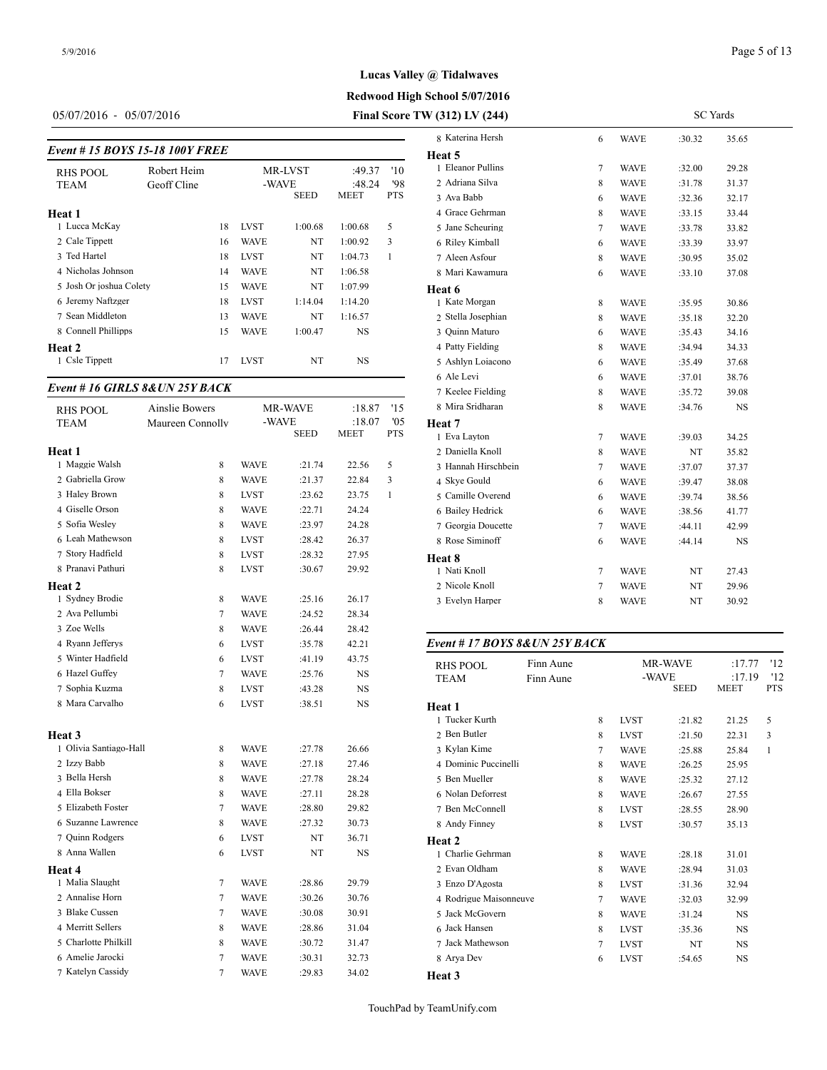05/07/2016 - 05/07/2016 **Final Score TW (312) LV (244)**

# *Event # 15 BOYS 15-18 100Y FREE*

| Event # 15 BOYS 15-18 100Y FREE |             |    |             |             |           |            | Heat 5             |
|---------------------------------|-------------|----|-------------|-------------|-----------|------------|--------------------|
| <b>RHS POOL</b>                 | Robert Heim |    |             | MR-LVST     | :49.37    | '10        | 1 Eleanor Pullins  |
| <b>TEAM</b>                     | Geoff Cline |    |             | -WAVE       | :48.24    | '98        | 2 Adriana Silva    |
|                                 |             |    |             | <b>SEED</b> | MEET      | <b>PTS</b> | 3 Ava Babb         |
| Heat 1                          |             |    |             |             |           |            | 4 Grace Gehrman    |
| 1 Lucca McKay                   |             | 18 | <b>LVST</b> | 1:00.68     | 1:00.68   | 5          | 5 Jane Scheuring   |
| 2 Cale Tippett                  |             | 16 | <b>WAVE</b> | NT          | 1:00.92   | 3          | 6 Riley Kimball    |
| 3 Ted Hartel                    |             | 18 | <b>LVST</b> | NT          | 1:04.73   | 1          | 7 Aleen Asfour     |
| 4 Nicholas Johnson              |             | 14 | <b>WAVE</b> | NT          | 1:06.58   |            | 8 Mari Kawamura    |
| 5 Josh Or joshua Colety         |             | 15 | <b>WAVE</b> | NT          | 1:07.99   |            | Heat 6             |
| 6 Jeremy Naftzger               |             | 18 | <b>LVST</b> | 1:14.04     | 1:14.20   |            | 1 Kate Morgan      |
| 7 Sean Middleton                |             | 13 | <b>WAVE</b> | NT          | 1:16.57   |            | 2 Stella Josephian |
| 8 Connell Phillipps             |             | 15 | WAVE        | 1:00.47     | <b>NS</b> |            | 3 Ouinn Maturo     |
| Heat 2                          |             |    |             |             |           |            | 4 Patty Fielding   |
| 1 Csle Tippett                  |             | 17 | <b>LVST</b> | NT          | <b>NS</b> |            | 5 Ashlyn Loiacon   |
|                                 |             |    |             |             |           |            | $\ell$ Ala Lavi    |

## *Event # 16 GIRLS 8&UN 25Y BACK*

| <b>RHS POOL</b>        | <b>Ainslie Bowers</b> |             | MR-WAVE     | :18.87      | '15        | 8 Mira Sridharan  |
|------------------------|-----------------------|-------------|-------------|-------------|------------|-------------------|
| TEAM                   | Maureen Connolly      |             | -WAVE       | :18.07      | 05         | Heat 7            |
|                        |                       |             | <b>SEED</b> | <b>MEET</b> | <b>PTS</b> | 1 Eva Layton      |
| Heat 1                 |                       |             |             |             |            | 2 Daniella Knoll  |
| 1 Maggie Walsh         | 8                     | <b>WAVE</b> | :21.74      | 22.56       | 5          | 3 Hannah Hirschb  |
| 2 Gabriella Grow       | 8                     | <b>WAVE</b> | :21.37      | 22.84       | 3          | 4 Skye Gould      |
| 3 Haley Brown          | 8                     | <b>LVST</b> | :23.62      | 23.75       | 1          | 5 Camille Overen  |
| 4 Giselle Orson        | 8                     | <b>WAVE</b> | :22.71      | 24.24       |            | 6 Bailey Hedrick  |
| 5 Sofia Wesley         | 8                     | <b>WAVE</b> | :23.97      | 24.28       |            | 7 Georgia Doucett |
| 6 Leah Mathewson       | 8                     | <b>LVST</b> | :28.42      | 26.37       |            | 8 Rose Siminoff   |
| 7 Story Hadfield       | 8                     | <b>LVST</b> | :28.32      | 27.95       |            | Heat 8            |
| 8 Pranavi Pathuri      | 8                     | <b>LVST</b> | :30.67      | 29.92       |            | 1 Nati Knoll      |
| <b>Heat 2</b>          |                       |             |             |             |            | 2 Nicole Knoll    |
| 1 Sydney Brodie        | 8                     | <b>WAVE</b> | :25.16      | 26.17       |            | 3 Evelyn Harper   |
| 2 Ava Pellumbi         | 7                     | <b>WAVE</b> | :24.52      | 28.34       |            |                   |
| 3 Zoe Wells            | 8                     | <b>WAVE</b> | :26.44      | 28.42       |            |                   |
| 4 Ryann Jefferys       | 6                     | <b>LVST</b> | :35.78      | 42.21       |            | Event # $17 BOY$  |
| 5 Winter Hadfield      | 6                     | <b>LVST</b> | :41.19      | 43.75       |            | <b>RHS POOL</b>   |
| 6 Hazel Guffey         | 7                     | <b>WAVE</b> | :25.76      | NS          |            | <b>TEAM</b>       |
| 7 Sophia Kuzma         | 8                     | <b>LVST</b> | :43.28      | <b>NS</b>   |            |                   |
| 8 Mara Carvalho        | 6                     | <b>LVST</b> | :38.51      | NS          |            | Heat 1            |
|                        |                       |             |             |             |            | 1 Tucker Kurth    |
| Heat 3                 |                       |             |             |             |            | 2 Ben Butler      |
| 1 Olivia Santiago-Hall | 8                     | <b>WAVE</b> | :27.78      | 26.66       |            | 3 Kylan Kime      |
| 2 Izzy Babb            | 8                     | <b>WAVE</b> | :27.18      | 27.46       |            | 4 Dominic Puccin  |
| 3 Bella Hersh          | 8                     | <b>WAVE</b> | :27.78      | 28.24       |            | 5 Ben Mueller     |
| 4 Ella Bokser          | 8                     | <b>WAVE</b> | :27.11      | 28.28       |            | 6 Nolan Deforrest |
| 5 Elizabeth Foster     | 7                     | <b>WAVE</b> | :28.80      | 29.82       |            | 7 Ben McConnell   |
| 6 Suzanne Lawrence     | 8                     | <b>WAVE</b> | :27.32      | 30.73       |            | 8 Andy Finney     |
| 7 Quinn Rodgers        | 6                     | <b>LVST</b> | NT          | 36.71       |            | Heat 2            |
| 8 Anna Wallen          | 6                     | <b>LVST</b> | NT          | NS          |            | 1 Charlie Gehrma: |
| Heat 4                 |                       |             |             |             |            | 2 Evan Oldham     |
| 1 Malia Slaught        | 7                     | <b>WAVE</b> | :28.86      | 29.79       |            | 3 Enzo D'Agosta   |
| 2 Annalise Horn        | 7                     | <b>WAVE</b> | :30.26      | 30.76       |            | 4 Rodrigue Maiso  |
| 3 Blake Cussen         | 7                     | <b>WAVE</b> | :30.08      | 30.91       |            | 5 Jack McGovern   |
| 4 Merritt Sellers      | 8                     | <b>WAVE</b> | :28.86      | 31.04       |            | 6 Jack Hansen     |
| 5 Charlotte Philkill   | 8                     | <b>WAVE</b> | :30.72      | 31.47       |            | 7 Jack Mathewsor  |
| 6 Amelie Jarocki       | 7                     | <b>WAVE</b> | :30.31      | 32.73       |            | 8 Arya Dev        |
| 7 Katelyn Cassidy      | $\overline{7}$        | <b>WAVE</b> | :29.83      | 34.02       |            | Heat 3            |
|                        |                       |             |             |             |            |                   |

| 8 Katerina Hersh    | 6 | <b>WAVE</b> | :30.32 | 35.65 |
|---------------------|---|-------------|--------|-------|
| Heat 5              |   |             |        |       |
| 1 Eleanor Pullins   | 7 | <b>WAVE</b> | :32.00 | 29.28 |
| 2 Adriana Silva     | 8 | <b>WAVE</b> | :31.78 | 31.37 |
| 3 Ava Babb          | 6 | <b>WAVE</b> | :32.36 | 32.17 |
| 4 Grace Gehrman     | 8 | <b>WAVE</b> | :33.15 | 33.44 |
| 5 Jane Scheuring    | 7 | <b>WAVE</b> | :33.78 | 33.82 |
| 6 Riley Kimball     | 6 | <b>WAVE</b> | :33.39 | 33.97 |
| 7 Aleen Asfour      | 8 | <b>WAVE</b> | :30.95 | 35.02 |
| 8 Mari Kawamura     | 6 | <b>WAVE</b> | :33.10 | 37.08 |
| Heat 6              |   |             |        |       |
| 1 Kate Morgan       | 8 | <b>WAVE</b> | :35.95 | 30.86 |
| 2 Stella Josephian  | 8 | <b>WAVE</b> | :35.18 | 32.20 |
| 3 Quinn Maturo      | 6 | <b>WAVE</b> | :35.43 | 34.16 |
| 4 Patty Fielding    | 8 | <b>WAVE</b> | :34.94 | 34.33 |
| 5 Ashlyn Loiacono   | 6 | <b>WAVE</b> | :35.49 | 37.68 |
| 6 Ale Levi          | 6 | <b>WAVE</b> | :37.01 | 38.76 |
| 7 Keelee Fielding   | 8 | <b>WAVE</b> | :35.72 | 39.08 |
| 8 Mira Sridharan    | 8 | <b>WAVE</b> | :34.76 | NS    |
| Heat 7              |   |             |        |       |
| 1 Eva Layton        | 7 | <b>WAVE</b> | :39.03 | 34.25 |
| 2 Daniella Knoll    | 8 | <b>WAVE</b> | NT     | 35.82 |
| 3 Hannah Hirschbein | 7 | <b>WAVE</b> | :37.07 | 37.37 |
| 4 Skye Gould        | 6 | <b>WAVE</b> | :39.47 | 38.08 |
| 5 Camille Overend   | 6 | <b>WAVE</b> | :39.74 | 38.56 |
| 6 Bailey Hedrick    | 6 | <b>WAVE</b> | :38.56 | 41.77 |
| 7 Georgia Doucette  | 7 | <b>WAVE</b> | :44.11 | 42.99 |
| 8 Rose Siminoff     | 6 | WAVE        | :44.14 | NS    |
| Heat 8              |   |             |        |       |
| 1 Nati Knoll        | 7 | <b>WAVE</b> | NT     | 27.43 |
| 2 Nicole Knoll      | 7 | <b>WAVE</b> | NT     | 29.96 |
| 3 Evelyn Harper     | 8 | <b>WAVE</b> | NT     | 30.92 |
|                     |   |             |        |       |

#### *Event # 17 BOYS 8&UN 25Y BACK*

| <b>RHS POOL</b>        | Finn Aune |                |             | <b>MR-WAVE</b>       | :17.77                                    | '12 |
|------------------------|-----------|----------------|-------------|----------------------|-------------------------------------------|-----|
| <b>TEAM</b>            | Finn Aune |                |             | -WAVE<br><b>SEED</b> | 12<br>:17.19<br><b>PTS</b><br><b>MEET</b> |     |
| Heat 1                 |           |                |             |                      |                                           |     |
| 1 Tucker Kurth         |           | 8              | <b>LVST</b> | :21.82               | 21.25                                     | 5   |
| 2 Ben Butler           |           | 8              | <b>LVST</b> | :21.50               | 22.31                                     | 3   |
| 3 Kylan Kime           |           | 7              | <b>WAVE</b> | :25.88               | 25.84                                     | 1   |
| 4 Dominic Puccinelli   |           | 8              | <b>WAVE</b> | :26.25               | 25.95                                     |     |
| 5 Ben Mueller          |           | 8              | <b>WAVE</b> | :25.32               | 27.12                                     |     |
| 6 Nolan Deforrest      |           | 8              | <b>WAVE</b> | :26.67               | 27.55                                     |     |
| 7 Ben McConnell        |           | 8              | <b>LVST</b> | :28.55               | 28.90                                     |     |
| 8 Andy Finney          |           | 8              | <b>LVST</b> | :30.57               | 35.13                                     |     |
| Heat 2                 |           |                |             |                      |                                           |     |
| 1 Charlie Gehrman      |           | 8              | <b>WAVE</b> | :28.18               | 31.01                                     |     |
| 2 Evan Oldham          |           | 8              | <b>WAVE</b> | :28.94               | 31.03                                     |     |
| 3 Enzo D'Agosta        |           | 8              | <b>LVST</b> | :31.36               | 32.94                                     |     |
| 4 Rodrigue Maisonneuve |           | $\overline{7}$ | <b>WAVE</b> | :32.03               | 32.99                                     |     |
| 5 Jack McGovern        |           | 8              | <b>WAVE</b> | :31.24               | <b>NS</b>                                 |     |
| 6 Jack Hansen          |           | 8              | <b>LVST</b> | :35.36               | NS                                        |     |
| 7 Jack Mathewson       |           | $\overline{7}$ | <b>LVST</b> | NT                   | <b>NS</b>                                 |     |
| 8 Arya Dev             |           | 6              | <b>LVST</b> | :54.65               | NS                                        |     |
| Heat 3                 |           |                |             |                      |                                           |     |

TouchPad by TeamUnify.com

SC Yards

# **Redwood High School 5/07/2016 Lucas Valley @ Tidalwaves**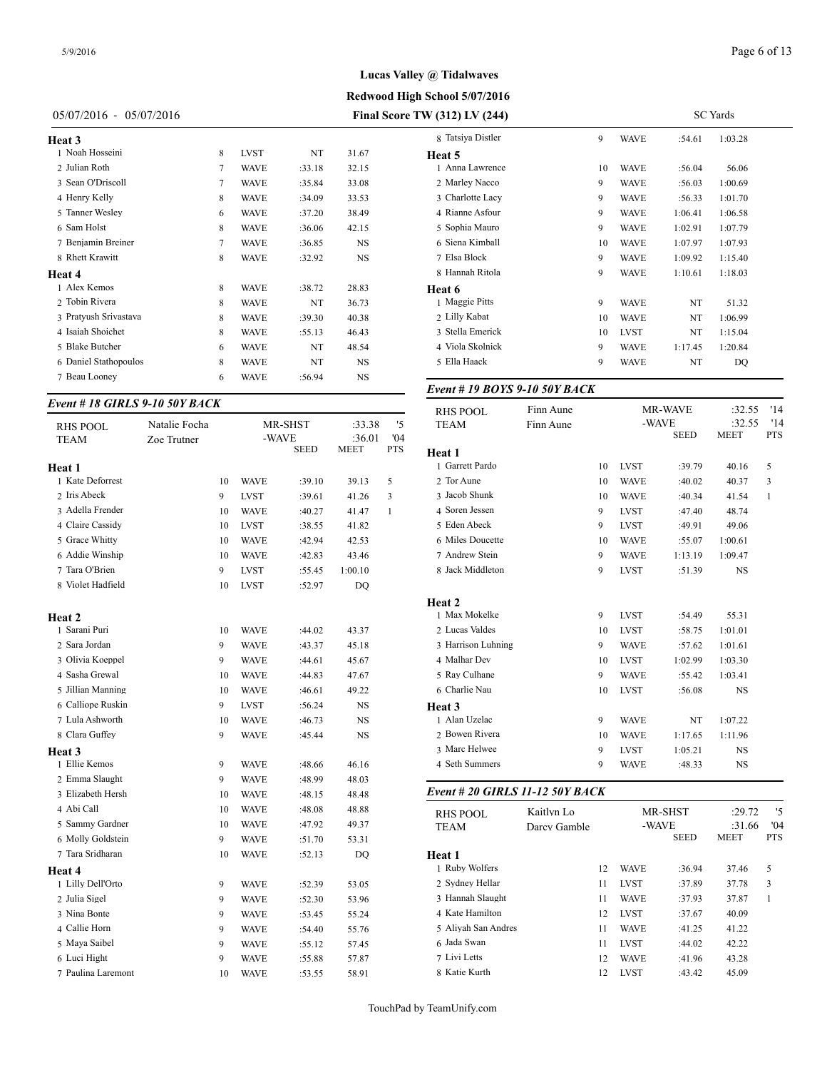# **Redwood High School 5/07/2016 Lucas Valley @ Tidalwaves**

#### 05/07/2016 - 05/07/2016 **Final Score TW (312) LV (244)**

| Heat 3                |   |             |        |           | 8 Tatsiya |
|-----------------------|---|-------------|--------|-----------|-----------|
| 1 Noah Hosseini       | 8 | <b>LVST</b> | NT     | 31.67     | Heat 5    |
| 2 Julian Roth         | 7 | <b>WAVE</b> | :33.18 | 32.15     | 1 Anna l  |
| 3 Sean O'Driscoll     | 7 | <b>WAVE</b> | :35.84 | 33.08     | 2 Marley  |
| 4 Henry Kelly         | 8 | <b>WAVE</b> | :34.09 | 33.53     | 3 Charlo  |
| 5 Tanner Wesley       | 6 | <b>WAVE</b> | :37.20 | 38.49     | 4 Rianne  |
| 6 Sam Holst           | 8 | <b>WAVE</b> | :36.06 | 42.15     | 5 Sophia  |
| 7 Benjamin Breiner    | 7 | <b>WAVE</b> | :36.85 | <b>NS</b> | 6 Siena   |
| 8 Rhett Krawitt       | 8 | <b>WAVE</b> | :32.92 | NS        | 7 Elsa B  |
| <b>Heat 4</b>         |   |             |        |           | 8 Hanna   |
| 1 Alex Kemos          | 8 | <b>WAVE</b> | :38.72 | 28.83     | Heat 6    |
| 2 Tobin Rivera        | 8 | <b>WAVE</b> | NT     | 36.73     | 1 Maggi   |
| 3 Pratyush Srivastava | 8 | <b>WAVE</b> | :39.30 | 40.38     | 2 Lilly F |
| 4 Isaiah Shoichet     | 8 | <b>WAVE</b> | :55.13 | 46.43     | 3 Stella  |
| 5 Blake Butcher       | 6 | <b>WAVE</b> | NT     | 48.54     | 4 Viola:  |
| 6 Daniel Stathopoulos | 8 | <b>WAVE</b> | NT     | <b>NS</b> | 5 Ella H  |
| 7 Beau Looney         | 6 | WAVE        | :56.94 | <b>NS</b> |           |
|                       |   |             |        |           |           |

## *Event # 18 GIRLS 9-10 50Y BACK*

| <b>RHS POOL</b>    | Natalie Focha |    |             | MR-SHST     | :33.38      | '5         | <b>TEAM</b>       |
|--------------------|---------------|----|-------------|-------------|-------------|------------|-------------------|
| TEAM               | Zoe Trutner   |    | -WAVE       |             | :36.01      | '04        |                   |
|                    |               |    |             | <b>SEED</b> | <b>MEET</b> | <b>PTS</b> | Heat 1            |
| Heat 1             |               |    |             |             |             |            | 1 Garrett Pardo   |
| 1 Kate Deforrest   |               | 10 | <b>WAVE</b> | :39.10      | 39.13       | 5          | 2 Tor Aune        |
| 2 Iris Abeck       |               | 9  | <b>LVST</b> | :39.61      | 41.26       | 3          | 3 Jacob Shunk     |
| 3 Adella Frender   |               | 10 | <b>WAVE</b> | :40.27      | 41.47       | 1          | 4 Soren Jessen    |
| 4 Claire Cassidy   |               | 10 | <b>LVST</b> | :38.55      | 41.82       |            | 5 Eden Abeck      |
| 5 Grace Whitty     |               | 10 | <b>WAVE</b> | :42.94      | 42.53       |            | 6 Miles Doucette  |
| 6 Addie Winship    |               | 10 | <b>WAVE</b> | :42.83      | 43.46       |            | 7 Andrew Stein    |
| 7 Tara O'Brien     |               | 9  | <b>LVST</b> | :55.45      | 1:00.10     |            | 8 Jack Middleton  |
| 8 Violet Hadfield  |               | 10 | <b>LVST</b> | :52.97      | DQ          |            |                   |
|                    |               |    |             |             |             |            | Heat 2            |
| Heat 2             |               |    |             |             |             |            | 1 Max Mokelke     |
| 1 Sarani Puri      |               | 10 | <b>WAVE</b> | :44.02      | 43.37       |            | 2 Lucas Valdes    |
| 2 Sara Jordan      |               | 9  | <b>WAVE</b> | :43.37      | 45.18       |            | 3 Harrison Luhnir |
| 3 Olivia Koeppel   |               | 9  | <b>WAVE</b> | :44.61      | 45.67       |            | 4 Malhar Dev      |
| 4 Sasha Grewal     |               | 10 | <b>WAVE</b> | :44.83      | 47.67       |            | 5 Ray Culhane     |
| 5 Jillian Manning  |               | 10 | <b>WAVE</b> | :46.61      | 49.22       |            | 6 Charlie Nau     |
| 6 Calliope Ruskin  |               | 9  | <b>LVST</b> | :56.24      | NS          |            | Heat 3            |
| 7 Lula Ashworth    |               | 10 | <b>WAVE</b> | :46.73      | NS          |            | 1 Alan Uzelac     |
| 8 Clara Guffey     |               | 9  | <b>WAVE</b> | :45.44      | NS          |            | 2 Bowen Rivera    |
| Heat 3             |               |    |             |             |             |            | 3 Marc Helwee     |
| 1 Ellie Kemos      |               | 9  | <b>WAVE</b> | :48.66      | 46.16       |            | 4 Seth Summers    |
| 2 Emma Slaught     |               | 9  | <b>WAVE</b> | :48.99      | 48.03       |            |                   |
| 3 Elizabeth Hersh  |               | 10 | <b>WAVE</b> | :48.15      | 48.48       |            | Event # 20 GIRI   |
| 4 Abi Call         |               | 10 | <b>WAVE</b> | :48.08      | 48.88       |            | <b>RHS POOL</b>   |
| 5 Sammy Gardner    |               | 10 | <b>WAVE</b> | :47.92      | 49.37       |            | <b>TEAM</b>       |
| 6 Molly Goldstein  |               | 9  | <b>WAVE</b> | :51.70      | 53.31       |            |                   |
| 7 Tara Sridharan   |               | 10 | <b>WAVE</b> | :52.13      | DQ          |            | Heat 1            |
| <b>Heat 4</b>      |               |    |             |             |             |            | 1 Ruby Wolfers    |
| 1 Lilly Dell'Orto  |               | 9  | <b>WAVE</b> | :52.39      | 53.05       |            | 2 Sydney Hellar   |
| 2 Julia Sigel      |               | 9  | <b>WAVE</b> | :52.30      | 53.96       |            | 3 Hannah Slaught  |
| 3 Nina Bonte       |               | 9  | <b>WAVE</b> | :53.45      | 55.24       |            | 4 Kate Hamilton   |
| 4 Callie Horn      |               | 9  | <b>WAVE</b> | :54.40      | 55.76       |            | 5 Aliyah San And: |
| 5 Maya Saibel      |               | 9  | <b>WAVE</b> | :55.12      | 57.45       |            | 6 Jada Swan       |
| 6 Luci Hight       |               | 9  | <b>WAVE</b> | :55.88      | 57.87       |            | 7 Livi Letts      |
| 7 Paulina Laremont |               | 10 | <b>WAVE</b> | :53.55      | 58.91       |            | 8 Katie Kurth     |

| 8 Tatsiya Distler               |              | 9  | WAVE        | :54.61               | 1:03.28        |              |
|---------------------------------|--------------|----|-------------|----------------------|----------------|--------------|
| Heat 5                          |              |    |             |                      |                |              |
| 1 Anna Lawrence                 |              | 10 | WAVE        | :56.04               | 56.06          |              |
| 2 Marley Nacco                  |              | 9  | <b>WAVE</b> | :56.03               | 1:00.69        |              |
| 3 Charlotte Lacy                |              | 9  | <b>WAVE</b> | :56.33               | 1:01.70        |              |
| 4 Rianne Asfour                 |              | 9  | WAVE        | 1:06.41              | 1:06.58        |              |
| 5 Sophia Mauro                  |              | 9  | <b>WAVE</b> | 1:02.91              | 1:07.79        |              |
| 6 Siena Kimball                 |              | 10 | WAVE        | 1:07.97              | 1:07.93        |              |
| 7 Elsa Block                    |              | 9  | <b>WAVE</b> | 1:09.92              | 1:15.40        |              |
| 8 Hannah Ritola                 |              | 9  | WAVE        | 1:10.61              | 1:18.03        |              |
| Heat 6                          |              |    |             |                      |                |              |
| 1 Maggie Pitts                  |              | 9  | <b>WAVE</b> | NT                   | 51.32          |              |
| 2 Lilly Kabat                   |              | 10 | <b>WAVE</b> | NT                   | 1:06.99        |              |
| 3 Stella Emerick                |              | 10 | LVST        | NT                   | 1:15.04        |              |
| 4 Viola Skolnick                |              | 9  | WAVE        | 1:17.45              | 1:20.84        |              |
| 5 Ella Haack                    |              | 9  | WAVE        | NT                   | DQ             |              |
| Event # 19 BOYS 9-10 50Y BACK   |              |    |             |                      |                |              |
| <b>RHS POOL</b>                 | Finn Aune    |    |             | MR-WAVE              | :32.55         | '14          |
| <b>TEAM</b>                     | Finn Aune    |    | -WAVE       |                      | :32.55         | '14          |
|                                 |              |    |             | <b>SEED</b>          | MEET           | PTS          |
| <b>Heat 1</b>                   |              |    |             |                      |                |              |
| 1 Garrett Pardo                 |              | 10 | LVST        | :39.79               | 40.16          | 5            |
| 2 Tor Aune                      |              | 10 | <b>WAVE</b> | :40.02               | 40.37          | 3            |
| 3 Jacob Shunk                   |              | 10 | <b>WAVE</b> | :40.34               | 41.54          | 1            |
| 4 Soren Jessen                  |              | 9  | LVST        | :47.40               | 48.74          |              |
| 5 Eden Abeck                    |              | 9  | <b>LVST</b> | :49.91               | 49.06          |              |
| 6 Miles Doucette                |              | 10 | <b>WAVE</b> | :55.07               | 1:00.61        |              |
| 7 Andrew Stein                  |              | 9  | WAVE        | 1:13.19              | 1:09.47        |              |
| 8 Jack Middleton                |              | 9  | LVST        | :51.39               | NS             |              |
| Heat 2                          |              |    |             |                      |                |              |
| 1 Max Mokelke                   |              | 9  | LVST        | :54.49               | 55.31          |              |
| 2 Lucas Valdes                  |              | 10 | LVST        | :58.75               | 1:01.01        |              |
| 3 Harrison Luhning              |              | 9  | <b>WAVE</b> | :57.62               | 1:01.61        |              |
| 4 Malhar Dev                    |              | 10 | LVST        | 1:02.99              | 1:03.30        |              |
| 5 Ray Culhane                   |              | 9  | <b>WAVE</b> | :55.42               | 1:03.41        |              |
| 6 Charlie Nau                   |              | 10 | LVST        | :56.08               | NS             |              |
| Heat 3                          |              |    |             |                      |                |              |
| 1 Alan Uzelac                   |              | 9  | WAVE        | NT                   | 1:07.22        |              |
| 2 Bowen Rivera                  |              | 10 | <b>WAVE</b> | 1:17.65              | 1:11.96        |              |
| 3 Marc Helwee                   |              | 9  | LVST        | 1:05.21              | NS             |              |
| 4 Seth Summers                  |              | 9  | <b>WAVE</b> | :48.33               | NS             |              |
| Event # 20 GIRLS 11-12 50Y BACK |              |    |             |                      |                |              |
| <b>RHS POOL</b>                 | Kaitlyn Lo   |    |             | MR-SHST              | :29.72         | '5           |
| TEAM                            | Darcy Gamble |    |             | -WAVE<br><b>SEED</b> | :31.66<br>MEET | '04<br>PTS   |
| Heat 1                          |              |    |             |                      |                |              |
| 1 Ruby Wolfers                  |              | 12 | <b>WAVE</b> | :36.94               | 37.46          | 5            |
| 2 Sydney Hellar                 |              | 11 | LVST        | :37.89               | 37.78          | 3            |
| 3 Hannah Slaught                |              | 11 | <b>WAVE</b> | :37.93               | 37.87          | $\mathbf{1}$ |
|                                 |              |    |             |                      |                |              |

4 Kate Hamilton 12 LVST :37.67 40.09 Aliyah San Andres 11 WAVE :41.25 41.22 Jada Swan 11 LVST :44.02 42.22 Livi Letts 12 WAVE :41.96 43.28 Katie Kurth 12 LVST :43.42 45.09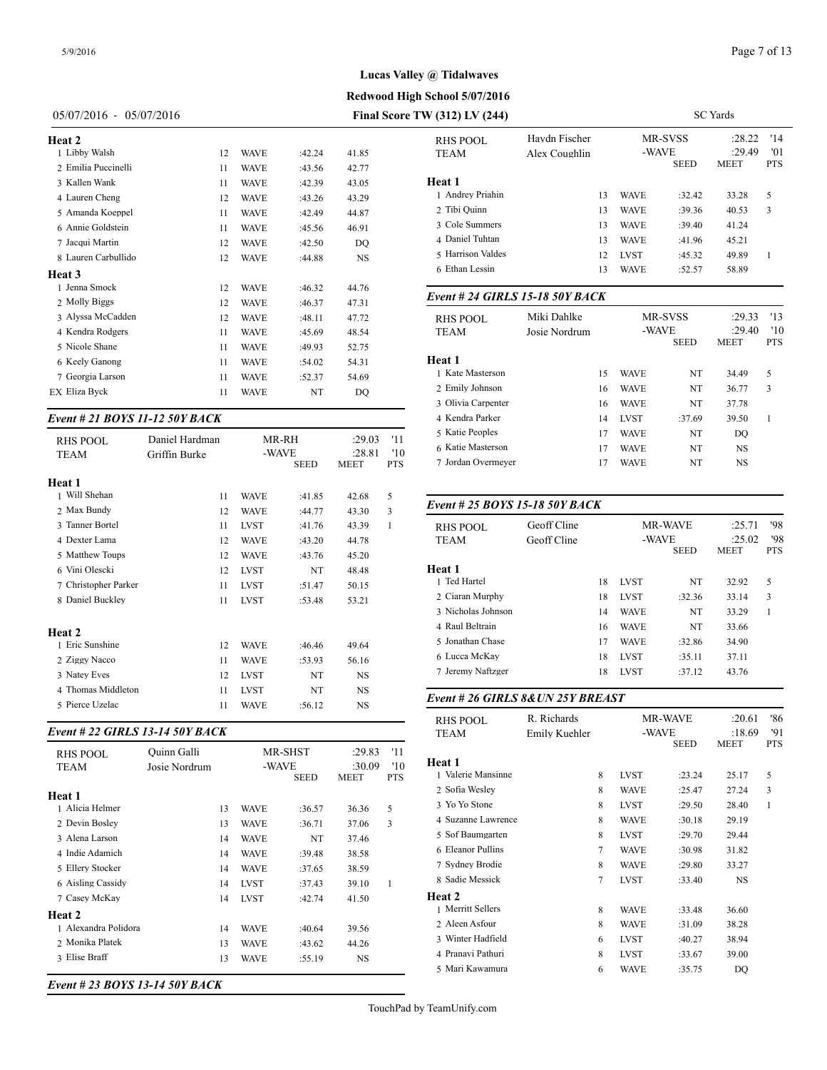**Redwood High School 5/07/2016**

| $05/07/2016 - 05/07/2016$ | <b>Final Score TV</b> |  |
|---------------------------|-----------------------|--|
|---------------------------|-----------------------|--|

| Heat 2              |    |             |        |           | <b>RHS POOL</b>             |
|---------------------|----|-------------|--------|-----------|-----------------------------|
| 1 Libby Walsh       | 12 | <b>WAVE</b> | :42.24 | 41.85     | <b>TEAM</b>                 |
| 2 Emilia Puccinelli | 11 | <b>WAVE</b> | :43.56 | 42.77     |                             |
| 3 Kallen Wank       | 11 | <b>WAVE</b> | :42.39 | 43.05     | <b>Heat 1</b>               |
| 4 Lauren Cheng      | 12 | <b>WAVE</b> | :43.26 | 43.29     | 1 Andrey Priahi             |
| 5 Amanda Koeppel    | 11 | <b>WAVE</b> | :42.49 | 44.87     | 2 Tibi Quinn                |
| 6 Annie Goldstein   | 11 | <b>WAVE</b> | :45.56 | 46.91     | 3 Cole Summers              |
| 7 Jacqui Martin     | 12 | <b>WAVE</b> | :42.50 | DO        | 4 Daniel Tuhtan             |
| 8 Lauren Carbullido | 12 | <b>WAVE</b> | :44.88 | <b>NS</b> | 5 Harrison Valde            |
| Heat 3              |    |             |        |           | 6 Ethan Lessin              |
| 1 Jenna Smock       | 12 | <b>WAVE</b> | :46.32 | 44.76     |                             |
| 2 Molly Biggs       | 12 | <b>WAVE</b> | :46.37 | 47.31     | Event # 24 GII              |
| 3 Alyssa McCadden   | 12 | <b>WAVE</b> | :48.11 | 47.72     | <b>RHS POOL</b>             |
| 4 Kendra Rodgers    | 11 | <b>WAVE</b> | :45.69 | 48.54     | <b>TEAM</b>                 |
| 5 Nicole Shane      | 11 | <b>WAVE</b> | :49.93 | 52.75     |                             |
| 6 Keely Ganong      | 11 | <b>WAVE</b> | :54.02 | 54.31     | Heat 1                      |
| 7 Georgia Larson    | 11 | <b>WAVE</b> | :52.37 | 54.69     | 1 Kate Masterso             |
| EX Eliza Byck       | 11 | WAVE        | NT     | DQ        | 2 Emily Johnsor             |
|                     |    |             |        |           | $\sim$ $\cap$ $\sim$ $\sim$ |

## *Event # 21 BOYS 11-12 50Y BACK*

| <b>RHS POOL</b><br><b>TEAM</b> | Daniel Hardman<br>Griffin Burke | -WAVE       | MR-RH       | :29.03<br>:28.81 | '11<br>'10   | 5 Katie Peoples<br>6 Katie Masterson<br>7 Jordan Overmey |
|--------------------------------|---------------------------------|-------------|-------------|------------------|--------------|----------------------------------------------------------|
|                                |                                 |             | <b>SEED</b> | <b>MEET</b>      | <b>PTS</b>   |                                                          |
| Heat 1<br>1 Will Shehan        | 11                              | <b>WAVE</b> | :41.85      |                  | 5            |                                                          |
| 2 Max Bundy                    | 12                              | <b>WAVE</b> | :44.77      | 42.68<br>43.30   | 3            | Event # 25 $BOY$                                         |
| 3 Tanner Bortel                | 11                              | <b>LVST</b> | :41.76      | 43.39            | $\mathbf{1}$ | <b>RHS POOL</b>                                          |
| 4 Dexter Lama                  | 12                              | <b>WAVE</b> | :43.20      | 44.78            |              | <b>TEAM</b>                                              |
| 5 Matthew Toups                | 12                              | <b>WAVE</b> | :43.76      | 45.20            |              |                                                          |
| 6 Vini Olescki                 | 12                              | <b>LVST</b> | NT          | 48.48            |              | Heat 1                                                   |
| 7 Christopher Parker           | 11                              | <b>LVST</b> | :51.47      | 50.15            |              | 1 Ted Hartel                                             |
| 8 Daniel Buckley               | 11                              | <b>LVST</b> | :53.48      | 53.21            |              | 2 Ciaran Murphy                                          |
|                                |                                 |             |             |                  |              | 3 Nicholas Johnso                                        |
| Heat 2                         |                                 |             |             |                  |              | 4 Raul Beltrain                                          |
| 1 Eric Sunshine                | 12                              | <b>WAVE</b> | :46.46      | 49.64            |              | 5 Jonathan Chase                                         |
| 2 Ziggy Nacco                  | 11                              | <b>WAVE</b> | :53.93      | 56.16            |              | 6 Lucca McKay                                            |
| 3 Natey Eves                   | 12                              | <b>LVST</b> | NT          | <b>NS</b>        |              | 7 Jeremy Naftzger                                        |
| 4 Thomas Middleton             | 11                              | <b>LVST</b> | NT          | <b>NS</b>        |              |                                                          |
| 5 Pierce Uzelac                | 11                              | <b>WAVE</b> | :56.12      | <b>NS</b>        |              | Event # 26 GIRI                                          |

## *Event # 22 GIRLS 13-14 50Y BACK*

| <b>RHS POOL</b><br>TEAM | Ouinn Galli<br>Josie Nordrum |             | MR-SHST<br>-WAVE | :29.83<br>:30.09 | '11<br>'10 | <b>Heat 1</b>     |
|-------------------------|------------------------------|-------------|------------------|------------------|------------|-------------------|
|                         |                              |             | <b>SEED</b>      | <b>MEET</b>      | <b>PTS</b> | 1 Valerie Mansinn |
| Heat 1                  |                              |             |                  |                  |            | 2 Sofia Wesley    |
| 1 Alicia Helmer         | 13                           | <b>WAVE</b> | :36.57           | 36.36            | 5          | 3 Yo Yo Stone     |
| 2 Devin Bosley          | 13                           | <b>WAVE</b> | :36.71           | 37.06            | 3          | 4 Suzanne Lawrer  |
| 3 Alena Larson          | 14                           | <b>WAVE</b> | NT               | 37.46            |            | 5 Sof Baumgarten  |
| 4 Indie Adamich         | 14                           | <b>WAVE</b> | :39.48           | 38.58            |            | 6 Eleanor Pullins |
| 5 Ellery Stocker        | 14                           | <b>WAVE</b> | :37.65           | 38.59            |            | 7 Sydney Brodie   |
| 6 Aisling Cassidy       | 14                           | <b>LVST</b> | :37.43           | 39.10            | 1          | 8 Sadie Messick   |
| 7 Casey McKay           | 14                           | <b>LVST</b> | :42.74           | 41.50            |            | Heat 2            |
| Heat 2                  |                              |             |                  |                  |            | 1 Merritt Sellers |
| 1 Alexandra Polidora    | 14                           | <b>WAVE</b> | :40.64           | 39.56            |            | 2 Aleen Asfour    |
| 2 Monika Platek         | 13                           |             |                  |                  |            | 3 Winter Hadfield |
|                         |                              | <b>WAVE</b> | :43.62           | 44.26            |            | 4 Pranavi Pathuri |
| 3 Elise Braff           | 13                           | <b>WAVE</b> | :55.19           | <b>NS</b>        |            | 5 Mari Kawamura   |

*Event # 23 BOYS 13-14 50Y BACK*

| <i>N</i> (312) LV (244)         |                                |    |             |                        | <b>SC</b> Yards                 |                          |
|---------------------------------|--------------------------------|----|-------------|------------------------|---------------------------------|--------------------------|
| RHS POOL<br><b>TEAM</b>         | Havdn Fischer<br>Alex Coughlin |    | -WAVE       | MR-SVSS<br><b>SEED</b> | :28.22<br>:29.49<br><b>MEET</b> | '14<br>'01<br><b>PTS</b> |
| Heat 1                          |                                |    |             |                        |                                 |                          |
| 1 Andrey Priahin                |                                | 13 | <b>WAVE</b> | :32.42                 | 33.28                           | 5                        |
| 2 Tibi Quinn                    |                                | 13 | <b>WAVE</b> | :39.36                 | 40.53                           | 3                        |
| 3 Cole Summers                  |                                | 13 | <b>WAVE</b> | :39.40                 | 41.24                           |                          |
| 4 Daniel Tuhtan                 |                                | 13 | <b>WAVE</b> | :41.96                 | 45.21                           |                          |
| 5 Harrison Valdes               |                                | 12 | LVST        | :45.32                 | 49.89                           | 1                        |
| 6 Ethan Lessin                  |                                | 13 | <b>WAVE</b> | :52.57                 | 58.89                           |                          |
| Event # 24 GIRLS 15-18 50Y BACK |                                |    |             |                        |                                 |                          |
| <b>RHS POOL</b>                 | Miki Dahlke                    |    |             | MR-SVSS                | :29.33                          | '13                      |
|                                 |                                |    |             |                        |                                 |                          |

| RHS POOL<br><b>TEAM</b> | мікі Danike<br>Josie Nordrum |    | -WAVE       | MK-3 V 33   | :29.33<br>:29.40 | -12<br>'10 |  |
|-------------------------|------------------------------|----|-------------|-------------|------------------|------------|--|
|                         |                              |    |             | <b>SEED</b> | <b>MEET</b>      | <b>PTS</b> |  |
| Heat 1                  |                              |    |             |             |                  |            |  |
| 1 Kate Masterson        |                              | 15 | <b>WAVE</b> | NT          | 34.49            | 5          |  |
| 2 Emily Johnson         |                              | 16 | <b>WAVE</b> | NT          | 36.77            | 3          |  |
| 3 Olivia Carpenter      |                              | 16 | <b>WAVE</b> | NT          | 37.78            |            |  |
| 4 Kendra Parker         |                              | 14 | <b>LVST</b> | :37.69      | 39.50            | 1          |  |
| 5 Katie Peoples         |                              | 17 | <b>WAVE</b> | NT          | DO.              |            |  |
| 6 Katie Masterson       |                              | 17 | <b>WAVE</b> | NT          | NS               |            |  |
| 7 Jordan Overmeyer      |                              | 17 | <b>WAVE</b> | NT          | NS               |            |  |
|                         |                              |    |             |             |                  |            |  |

## *Event # 25 BOYS 15-18 50Y BACK*

| <b>RHS POOL</b><br><b>TEAM</b> | Geoff Cline<br>Geoff Cline |    |             | <b>MR-WAVE</b><br>-WAVE<br><b>SEED</b> | :25.71<br>:25.02<br><b>MEET</b> | '98<br>'98<br><b>PTS</b> |
|--------------------------------|----------------------------|----|-------------|----------------------------------------|---------------------------------|--------------------------|
| Heat 1                         |                            |    |             |                                        |                                 |                          |
| 1 Ted Hartel                   |                            | 18 | <b>LVST</b> | NT                                     | 32.92                           | 5                        |
| 2 Ciaran Murphy                |                            | 18 | <b>LVST</b> | :32.36                                 | 33.14                           | 3                        |
| 3 Nicholas Johnson             |                            | 14 | <b>WAVE</b> | NT                                     | 33.29                           | 1                        |
| 4 Raul Beltrain                |                            | 16 | <b>WAVE</b> | NT                                     | 33.66                           |                          |
| 5 Jonathan Chase               |                            | 17 | <b>WAVE</b> | :32.86                                 | 34.90                           |                          |
| 6 Lucca McKay                  |                            | 18 | <b>LVST</b> | :35.11                                 | 37.11                           |                          |
| 7 Jeremy Naftzger              |                            | 18 | <b>LVST</b> | :37.12                                 | 43.76                           |                          |
|                                |                            |    |             |                                        |                                 |                          |

## *Event # 26 GIRLS 8&UN 25Y BREAST*

| <b>RHS POOL</b><br>TEAM | R. Richards<br>Emily Kuehler |                | -WAVE       | <b>MR-WAVE</b> | :20.61<br>:18.69 | '86<br>'91 |
|-------------------------|------------------------------|----------------|-------------|----------------|------------------|------------|
|                         |                              |                |             | <b>SEED</b>    | MEET             | <b>PTS</b> |
| Heat 1                  |                              |                |             |                |                  |            |
| 1 Valerie Mansinne      |                              | 8              | <b>LVST</b> | :23.24         | 25.17            | 5          |
| 2 Sofia Wesley          |                              | 8              | <b>WAVE</b> | :25.47         | 27.24            | 3          |
| 3 Yo Yo Stone           |                              | 8              | <b>LVST</b> | :29.50         | 28.40            | 1          |
| 4 Suzanne Lawrence      |                              | 8              | <b>WAVE</b> | :30.18         | 29.19            |            |
| 5 Sof Baumgarten        |                              | 8              | <b>LVST</b> | :29.70         | 29.44            |            |
| 6 Eleanor Pullins       |                              | $\overline{7}$ | <b>WAVE</b> | :30.98         | 31.82            |            |
| 7 Sydney Brodie         |                              | 8              | <b>WAVE</b> | :29.80         | 33.27            |            |
| 8 Sadie Messick         |                              | 7              | <b>LVST</b> | :33.40         | <b>NS</b>        |            |
| Heat 2                  |                              |                |             |                |                  |            |
| 1 Merritt Sellers       |                              | 8              | <b>WAVE</b> | :33.48         | 36.60            |            |
| 2 Aleen Asfour          |                              | 8              | <b>WAVE</b> | :31.09         | 38.28            |            |
| 3 Winter Hadfield       |                              | 6              | <b>LVST</b> | :40.27         | 38.94            |            |
| 4 Pranavi Pathuri       |                              | 8              | <b>LVST</b> | :33.67         | 39.00            |            |
| 5 Mari Kawamura         |                              | 6              | WAVE        | :35.75         | DQ               |            |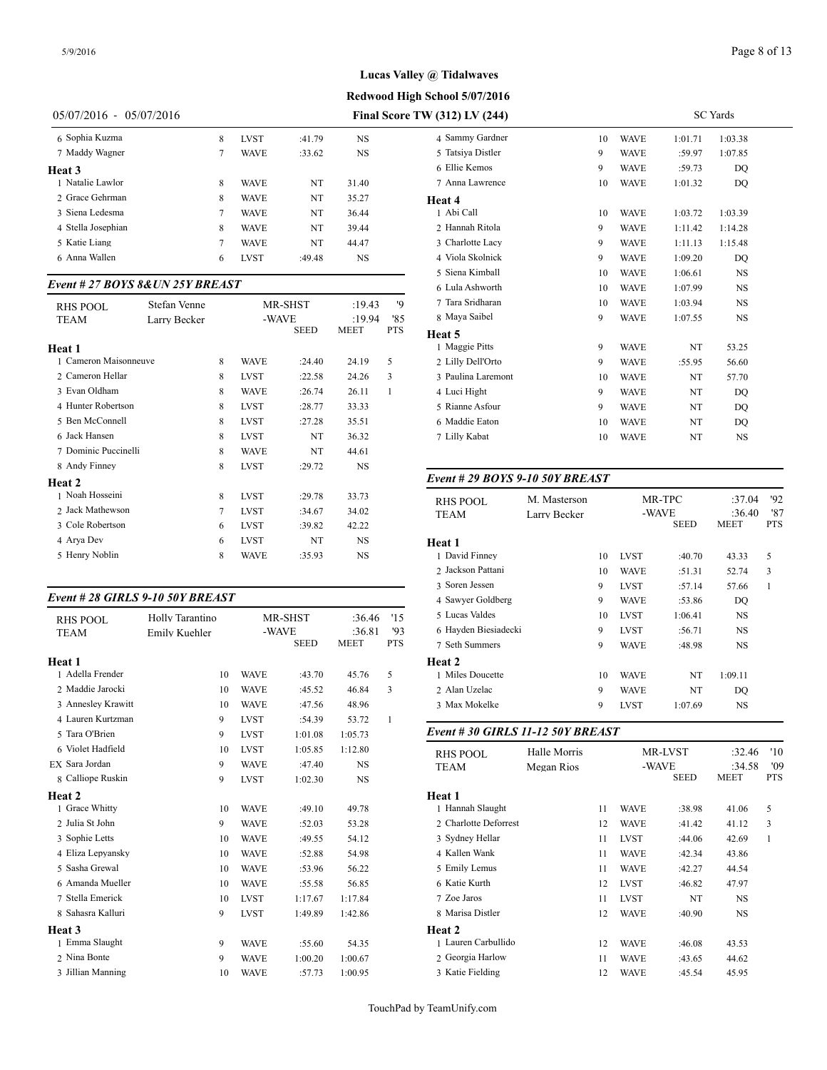**Redwood High School 5/07/2016**

# 05/07/2016 - 05/07/2016 **Final Score TW (312) LV (244)**

| 6 Sophia Kuzma     | 8 | <b>LVST</b> | :41.79 | NS        | 4 Samm    |
|--------------------|---|-------------|--------|-----------|-----------|
| 7 Maddy Wagner     | 7 | <b>WAVE</b> | :33.62 | <b>NS</b> | 5 Tatsiya |
| Heat 3             |   |             |        |           | 6 Ellie k |
| 1 Natalie Lawlor   | 8 | WAVE        | NT     | 31.40     | 7 Anna l  |
| 2 Grace Gehrman    | 8 | <b>WAVE</b> | NT     | 35.27     | Heat 4    |
| 3 Siena Ledesma    | 7 | WAVE        | NT     | 36.44     | 1 Abi Ca  |
| 4 Stella Josephian | 8 | WAVE        | NT     | 39.44     | 2 Hanna   |
| 5 Katie Liang      | 7 | <b>WAVE</b> | NT     | 44.47     | 3 Charlo  |
| 6 Anna Wallen      | 6 | <b>LVST</b> | :49.48 | NS        | 4 Viola:  |
|                    |   |             |        |           |           |

#### *Event # 27 BOYS 8&UN 25Y BREAST*

| <b>RHS POOL</b>       | Stefan Venne |   |             | MR-SHST     | :19.43      | '9         | 7 Tara Sridharan  |
|-----------------------|--------------|---|-------------|-------------|-------------|------------|-------------------|
| <b>TEAM</b>           | Larry Becker |   | -WAVE       |             | :19.94      | '85        | 8 Maya Saibel     |
|                       |              |   |             | <b>SEED</b> | <b>MEET</b> | <b>PTS</b> | <b>Heat 5</b>     |
| <b>Heat 1</b>         |              |   |             |             |             |            | 1 Maggie Pitts    |
| 1 Cameron Maisonneuve |              | 8 | <b>WAVE</b> | :24.40      | 24.19       | 5          | 2 Lilly Dell'Orto |
| 2 Cameron Hellar      |              | 8 | <b>LVST</b> | :22.58      | 24.26       | 3          | 3 Paulina Laremor |
| 3 Evan Oldham         |              | 8 | <b>WAVE</b> | :26.74      | 26.11       | 1          | 4 Luci Hight      |
| 4 Hunter Robertson    |              | 8 | <b>LVST</b> | :28.77      | 33.33       |            | 5 Rianne Asfour   |
| 5 Ben McConnell       |              | 8 | <b>LVST</b> | :27.28      | 35.51       |            | 6 Maddie Eaton    |
| 6 Jack Hansen         |              | 8 | <b>LVST</b> | NT          | 36.32       |            | 7 Lilly Kabat     |
| 7 Dominic Puccinelli  |              | 8 | <b>WAVE</b> | NT          | 44.61       |            |                   |
| 8 Andy Finney         |              | 8 | <b>LVST</b> | :29.72      | <b>NS</b>   |            |                   |
| Heat 2                |              |   |             |             |             |            | Event # 29 $BOY$  |
| 1 Noah Hosseini       |              | 8 | <b>LVST</b> | :29.78      | 33.73       |            | <b>RHS POOL</b>   |
| 2 Jack Mathewson      |              | 7 | <b>LVST</b> | :34.67      | 34.02       |            | <b>TEAM</b>       |
| 3 Cole Robertson      |              | 6 | <b>LVST</b> | :39.82      | 42.22       |            |                   |
| 4 Arya Dev            |              | 6 | <b>LVST</b> | NT          | <b>NS</b>   |            | Heat 1            |
| 5 Henry Noblin        |              | 8 | <b>WAVE</b> | :35.93      | <b>NS</b>   |            | 1 David Finney    |
|                       |              |   |             |             |             |            |                   |

# *Event # 28 GIRLS 9-10 50Y BREAST*

| <b>RHS POOL</b><br><b>TEAM</b> | Holly Tarantino<br>Emily Kuehler |             | <b>MR-SHST</b><br>-WAVE<br><b>SEED</b> | :36.46<br>:36.81<br><b>MEET</b> | '15<br>93<br><b>PTS</b> | 5 Lucas Valdes<br>6 Hayden Biesiade<br>7 Seth Summers |
|--------------------------------|----------------------------------|-------------|----------------------------------------|---------------------------------|-------------------------|-------------------------------------------------------|
| Heat 1                         |                                  |             |                                        |                                 |                         | Heat 2                                                |
| 1 Adella Frender               | 10                               | <b>WAVE</b> | :43.70                                 | 45.76                           | 5                       | 1 Miles Doucette                                      |
| 2. Maddie Jarocki              | 10                               | <b>WAVE</b> | :45.52                                 | 46.84                           | 3                       | 2 Alan Uzelac                                         |
| 3 Anneslev Krawitt             | 10                               | <b>WAVE</b> | :47.56                                 | 48.96                           |                         | 3 Max Mokelke                                         |
| 4 Lauren Kurtzman              | 9                                | <b>LVST</b> | :54.39                                 | 53.72                           | $\mathbf{1}$            |                                                       |
| 5 Tara O'Brien                 | 9                                | <b>LVST</b> | 1:01.08                                | 1:05.73                         |                         | Event # 30 GIRI                                       |
| 6 Violet Hadfield              | 10                               | <b>LVST</b> | 1:05.85                                | 1:12.80                         |                         | <b>RHS POOL</b>                                       |
| EX Sara Jordan                 | 9                                | <b>WAVE</b> | :47.40                                 | <b>NS</b>                       |                         | <b>TEAM</b>                                           |
| 8 Calliope Ruskin              | 9                                | <b>LVST</b> | 1:02.30                                | <b>NS</b>                       |                         |                                                       |
| <b>Heat 2</b>                  |                                  |             |                                        |                                 |                         | Heat 1                                                |
| 1 Grace Whitty                 | 10                               | <b>WAVE</b> | :49.10                                 | 49.78                           |                         | 1 Hannah Slaught                                      |
| 2 Julia St John                | 9                                | <b>WAVE</b> | :52.03                                 | 53.28                           |                         | 2 Charlotte Deform                                    |
| 3 Sophie Letts                 | 10                               | <b>WAVE</b> | :49.55                                 | 54.12                           |                         | 3 Sydney Hellar                                       |
| 4 Eliza Lepyansky              | 10                               | <b>WAVE</b> | :52.88                                 | 54.98                           |                         | 4 Kallen Wank                                         |
| 5 Sasha Grewal                 | 10                               | <b>WAVE</b> | :53.96                                 | 56.22                           |                         | 5 Emily Lemus                                         |
| 6 Amanda Mueller               | 10                               | <b>WAVE</b> | :55.58                                 | 56.85                           |                         | 6 Katie Kurth                                         |
| 7 Stella Emerick               | 10                               | <b>LVST</b> | 1:17.67                                | 1:17.84                         |                         | 7 Zoe Jaros                                           |
| 8 Sahasra Kalluri              | 9                                | <b>LVST</b> | 1:49.89                                | 1:42.86                         |                         | 8 Marisa Distler                                      |
| <b>Heat 3</b>                  |                                  |             |                                        |                                 |                         | Heat 2                                                |
| 1 Emma Slaught                 | 9                                | <b>WAVE</b> | :55.60                                 | 54.35                           |                         | 1 Lauren Carbullio                                    |
| 2 Nina Bonte                   | 9                                | <b>WAVE</b> | 1:00.20                                | 1:00.67                         |                         | 2 Georgia Harlow                                      |
| 3 Jillian Manning              | 10                               | <b>WAVE</b> | :57.73                                 | 1:00.95                         |                         | 3 Katie Fielding                                      |

| N (312) LV (244)   |    |             | SC Yards |           |
|--------------------|----|-------------|----------|-----------|
| 4 Sammy Gardner    | 10 | <b>WAVE</b> | 1:01.71  | 1:03.38   |
| 5 Tatsiya Distler  | 9  | <b>WAVE</b> | :59.97   | 1:07.85   |
| 6 Ellie Kemos      | 9  | <b>WAVE</b> | :59.73   | DO        |
| 7 Anna Lawrence    | 10 | <b>WAVE</b> | 1:01.32  | DO        |
| Heat 4             |    |             |          |           |
| 1 Abi Call         | 10 | <b>WAVE</b> | 1:03.72  | 1:03.39   |
| 2 Hannah Ritola    | 9  | <b>WAVE</b> | 1:11.42  | 1:14.28   |
| 3 Charlotte Lacy   | 9  | <b>WAVE</b> | 1:11.13  | 1:15.48   |
| 4 Viola Skolnick   | 9  | <b>WAVE</b> | 1:09.20  | DO        |
| 5 Siena Kimball    | 10 | <b>WAVE</b> | 1:06.61  | <b>NS</b> |
| 6 Lula Ashworth    | 10 | <b>WAVE</b> | 1:07.99  | <b>NS</b> |
| 7 Tara Sridharan   | 10 | <b>WAVE</b> | 1:03.94  | <b>NS</b> |
| 8 Maya Saibel      | 9  | <b>WAVE</b> | 1:07.55  | <b>NS</b> |
| Heat 5             |    |             |          |           |
| 1 Maggie Pitts     | 9  | <b>WAVE</b> | NT       | 53.25     |
| 2 Lilly Dell'Orto  | 9  | <b>WAVE</b> | :55.95   | 56.60     |
| 3 Paulina Laremont | 10 | <b>WAVE</b> | NT       | 57.70     |
| 4 Luci Hight       | 9  | <b>WAVE</b> | NT       | DO        |
| 5 Rianne Asfour    | 9  | <b>WAVE</b> | NT       | DO        |
| 6 Maddie Eaton     | 10 | <b>WAVE</b> | NT       | DO        |
| 7 Lilly Kabat      | 10 | <b>WAVE</b> | NT       | NS        |
|                    |    |             |          |           |

## *Event # 29 BOYS 9-10 50Y BREAST*

| <b>RHS POOL</b><br><b>TEAM</b> | M. Masterson<br>Larry Becker |    | -WAVE       | MR-TPC      | :37.04<br>:36.40 | 92<br>'87  |
|--------------------------------|------------------------------|----|-------------|-------------|------------------|------------|
|                                |                              |    |             | <b>SEED</b> | <b>MEET</b>      | <b>PTS</b> |
| Heat 1                         |                              |    |             |             |                  |            |
| 1 David Finney                 |                              | 10 | <b>LVST</b> | :40.70      | 43.33            | 5          |
| 2 Jackson Pattani              |                              | 10 | <b>WAVE</b> | :51.31      | 52.74            | 3          |
| 3 Soren Jessen                 |                              | 9  | <b>LVST</b> | :57.14      | 57.66            | 1          |
| 4 Sawyer Goldberg              |                              | 9  | <b>WAVE</b> | :53.86      | DO               |            |
| 5 Lucas Valdes                 |                              | 10 | <b>LVST</b> | 1:06.41     | <b>NS</b>        |            |
| 6 Hayden Biesiadecki           |                              | 9  | <b>LVST</b> | :56.71      | <b>NS</b>        |            |
| 7 Seth Summers                 |                              | 9  | <b>WAVE</b> | :48.98      | NS               |            |
| Heat 2                         |                              |    |             |             |                  |            |
| 1 Miles Doucette               |                              | 10 | <b>WAVE</b> | NT          | 1:09.11          |            |
| 2 Alan Uzelac                  |                              | 9  | <b>WAVE</b> | NT          | DQ               |            |
| 3 Max Mokelke                  |                              | 9  | <b>LVST</b> | 1:07.69     | <b>NS</b>        |            |
|                                |                              |    |             |             |                  |            |

*Event # 30 GIRLS 11-12 50Y BREAST*

| Halle Morris<br><b>RHS POOL</b> |            |    |             | <b>MR-LVST</b> | '10<br>:32.46 |            |  |
|---------------------------------|------------|----|-------------|----------------|---------------|------------|--|
| <b>TEAM</b>                     | Megan Rios |    | -WAVE       |                | :34.58        | '09        |  |
|                                 |            |    |             | SEED           | MEET          | <b>PTS</b> |  |
| Heat 1                          |            |    |             |                |               |            |  |
| 1 Hannah Slaught                |            | 11 | <b>WAVE</b> | :38.98         | 41.06         | 5          |  |
| 2 Charlotte Deforrest           |            | 12 | <b>WAVE</b> | :41.42         | 41.12         | 3          |  |
| 3 Sydney Hellar                 |            | 11 | LVST        | :44.06         | 42.69         | 1          |  |
| 4 Kallen Wank                   |            | 11 | <b>WAVE</b> | :42.34         | 43.86         |            |  |
| 5 Emily Lemus                   |            | 11 | <b>WAVE</b> | :42.27         | 44.54         |            |  |
| 6 Katie Kurth                   |            | 12 | <b>LVST</b> | :46.82         | 47.97         |            |  |
| 7 Zoe Jaros                     |            | 11 | <b>LVST</b> | NT             | NS            |            |  |
| 8 Marisa Distler                |            | 12 | <b>WAVE</b> | :40.90         | NS.           |            |  |
| <b>Heat 2</b>                   |            |    |             |                |               |            |  |
| 1 Lauren Carbullido             |            | 12 | <b>WAVE</b> | :46.08         | 43.53         |            |  |
| 2 Georgia Harlow                |            | 11 | <b>WAVE</b> | :43.65         | 44.62         |            |  |
| 3 Katie Fielding                |            | 12 | <b>WAVE</b> | :45.54         | 45.95         |            |  |
|                                 |            |    |             |                |               |            |  |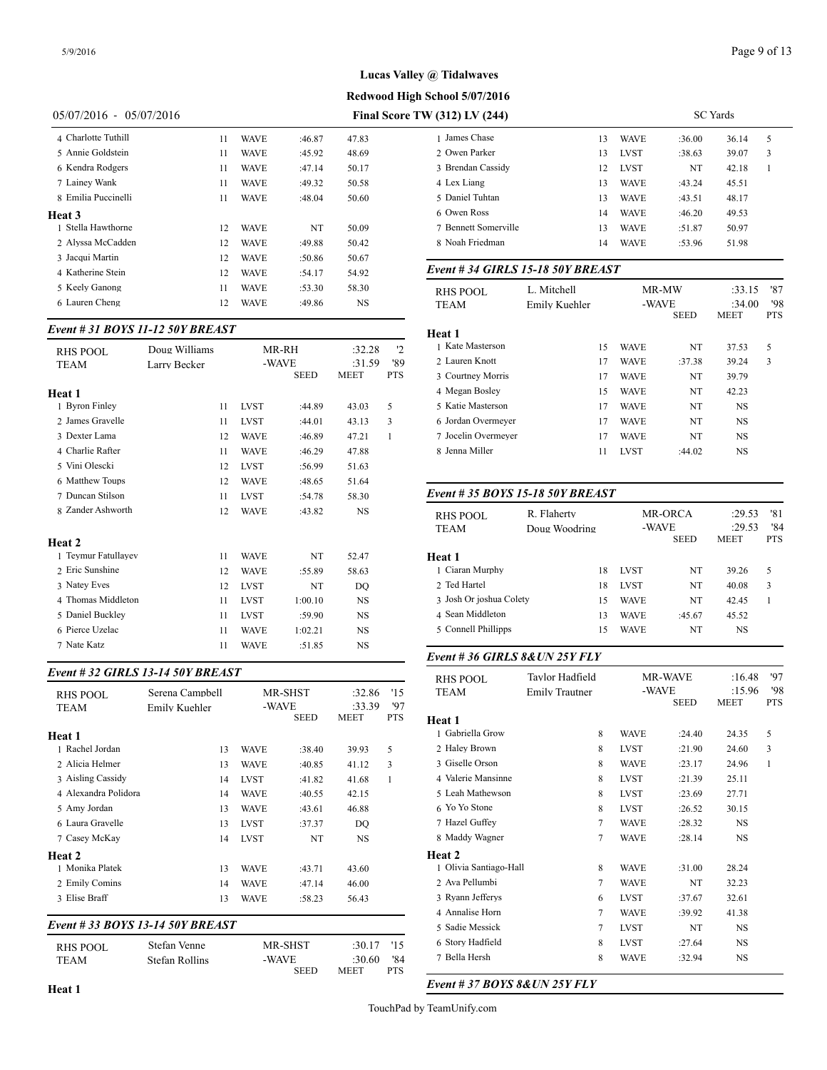**Redwood High School 5/07/2016**

#### 05/07/2016 - 05/07/2016 **Final Score TV**

| 4 Charlotte Tuthill | 11 | <b>WAVE</b> | :46.87 | 47.83 | 1 James       |
|---------------------|----|-------------|--------|-------|---------------|
| 5 Annie Goldstein   | 11 | <b>WAVE</b> | :45.92 | 48.69 | 2 Owen        |
| 6 Kendra Rodgers    | 11 | <b>WAVE</b> | :47.14 | 50.17 | 3 Brenda      |
| 7 Lainey Wank       | 11 | <b>WAVE</b> | :49.32 | 50.58 | 4 Lex Li      |
| 8 Emilia Puccinelli | 11 | <b>WAVE</b> | :48.04 | 50.60 | 5 Daniel      |
| Heat 3              |    |             |        |       | 6 Owen        |
| 1 Stella Hawthorne  | 12 | <b>WAVE</b> | NT     | 50.09 | 7 Benne       |
| 2 Alyssa McCadden   | 12 | <b>WAVE</b> | :49.88 | 50.42 | 8 Noah        |
| 3 Jacqui Martin     | 12 | <b>WAVE</b> | :50.86 | 50.67 |               |
| 4 Katherine Stein   | 12 | <b>WAVE</b> | :54.17 | 54.92 | $Event#$ .    |
| 5 Keely Ganong      | 11 | <b>WAVE</b> | :53.30 | 58.30 | <b>RHS PC</b> |
| 6 Lauren Cheng      | 12 | <b>WAVE</b> | :49.86 | NS    | <b>TEAM</b>   |
|                     |    |             |        |       |               |

### *Event # 31 BOYS 11-12 50Y BREAST*

|                     |               |             |             |             |            | неат 1              |
|---------------------|---------------|-------------|-------------|-------------|------------|---------------------|
| <b>RHS POOL</b>     | Doug Williams |             | MR-RH       | :32.28      | 12         | 1 Kate Masterson    |
| TEAM                | Larry Becker  |             | -WAVE       | :31.59      | '89        | 2 Lauren Knott      |
|                     |               |             | <b>SEED</b> | <b>MEET</b> | <b>PTS</b> | 3 Courtney Morris   |
| Heat 1              |               |             |             |             |            | 4 Megan Bosley      |
| 1 Byron Finley      | 11            | <b>LVST</b> | :44.89      | 43.03       | 5          | 5 Katie Masterson   |
| 2. James Gravelle   | 11            | <b>LVST</b> | :44.01      | 43.13       | 3          | 6 Jordan Overmey    |
| 3 Dexter Lama       | 12            | <b>WAVE</b> | :46.89      | 47.21       | 1          | 7 Jocelin Overmey   |
| 4 Charlie Rafter    | 11            | <b>WAVE</b> | :46.29      | 47.88       |            | 8 Jenna Miller      |
| 5 Vini Olescki      | 12            | <b>LVST</b> | :56.99      | 51.63       |            |                     |
| 6 Matthew Toups     | 12            | <b>WAVE</b> | :48.65      | 51.64       |            |                     |
| 7 Duncan Stilson    | 11            | <b>LVST</b> | :54.78      | 58.30       |            | Event # 35 $BOY$    |
| 8 Zander Ashworth   | 12            | <b>WAVE</b> | :43.82      | NS          |            | <b>RHS POOL</b>     |
|                     |               |             |             |             |            | <b>TEAM</b>         |
| Heat 2              |               |             |             |             |            |                     |
| 1 Teymur Fatullayev | 11            | <b>WAVE</b> | NT          | 52.47       |            | Heat 1              |
| 2 Eric Sunshine     | 12            | <b>WAVE</b> | :55.89      | 58.63       |            | 1 Ciaran Murphy     |
| 3 Natey Eves        | 12            | <b>LVST</b> | NT          | DO          |            | 2 Ted Hartel        |
| 4 Thomas Middleton  | 11            | <b>LVST</b> | 1:00.10     | <b>NS</b>   |            | 3 Josh Or joshua 0  |
| 5 Daniel Buckley    | 11            | <b>LVST</b> | :59.90      | <b>NS</b>   |            | 4 Sean Middleton    |
| 6 Pierce Uzelac     | 11            | <b>WAVE</b> | 1:02.21     | <b>NS</b>   |            | 5 Connell Phillipp  |
| 7 Nate Katz         | 11            | <b>WAVE</b> | :51.85      | <b>NS</b>   |            |                     |
|                     |               |             |             |             |            | $\mathbf{u}$ as one |

#### *Event # 32 GIRLS 13-14 50Y BREAST*

|                                  |                 |    |             | <b>MR-SHST</b> | :32.86         | '15               | .<br><b>TEAM</b>   |
|----------------------------------|-----------------|----|-------------|----------------|----------------|-------------------|--------------------|
| <b>RHS POOL</b>                  | Serena Campbell |    |             |                |                |                   |                    |
| <b>TEAM</b>                      | Emily Kuehler   |    | -WAVE       | <b>SEED</b>    | :33.39<br>MEET | '97<br><b>PTS</b> | <b>Heat 1</b>      |
| Heat 1                           |                 |    |             |                |                |                   | 1 Gabriella Grow   |
| 1 Rachel Jordan                  |                 | 13 | <b>WAVE</b> | :38.40         | 39.93          | 5                 | 2 Haley Brown      |
| 2 Alicia Helmer                  |                 | 13 | <b>WAVE</b> | :40.85         | 41.12          | 3                 | 3 Giselle Orson    |
| 3 Aisling Cassidy                |                 | 14 | <b>LVST</b> | :41.82         | 41.68          | 1                 | 4 Valerie Mansinn  |
| 4 Alexandra Polidora             |                 | 14 | WAVE        | :40.55         | 42.15          |                   | 5 Leah Mathewso:   |
| 5 Amy Jordan                     |                 | 13 | <b>WAVE</b> | :43.61         | 46.88          |                   | 6 Yo Yo Stone      |
| 6 Laura Gravelle                 |                 | 13 | <b>LVST</b> | :37.37         | DQ             |                   | 7 Hazel Guffey     |
| 7 Casey McKay                    |                 | 14 | <b>LVST</b> | NT             | <b>NS</b>      |                   | 8 Maddy Wagner     |
| Heat 2                           |                 |    |             |                |                |                   | Heat 2             |
| 1 Monika Platek                  |                 | 13 | <b>WAVE</b> | :43.71         | 43.60          |                   | 1 Olivia Santiago- |
| 2 Emily Comins                   |                 | 14 | <b>WAVE</b> | :47.14         | 46.00          |                   | 2 Ava Pellumbi     |
| 3 Elise Braff                    |                 | 13 | <b>WAVE</b> | :58.23         | 56.43          |                   | 3 Ryann Jefferys   |
|                                  |                 |    |             |                |                |                   | 4 Annalise Horn    |
| Event # 33 BOYS 13-14 50Y BREAST |                 |    |             |                |                |                   | 5 Sadie Messick    |
| <b>RHS POOL</b>                  | Stefan Venne    |    |             | MR-SHST        | :30.17         | '15               | 6 Story Hadfield   |
| <b>TEAM</b>                      | Stefan Rollins  |    | -WAVE       |                | :30.60         | '84               | 7 Bella Hersh      |
|                                  |                 |    |             | <b>SEED</b>    | <b>MEET</b>    | PTS               |                    |

| $V(312)$ LV (244)    |    | <b>SC</b> Yards |        |       |   |  |  |  |  |  |
|----------------------|----|-----------------|--------|-------|---|--|--|--|--|--|
| 1 James Chase        | 13 | <b>WAVE</b>     | :36.00 | 36.14 | 5 |  |  |  |  |  |
| 2 Owen Parker        | 13 | <b>LVST</b>     | :38.63 | 39.07 | 3 |  |  |  |  |  |
| 3 Brendan Cassidy    | 12 | <b>LVST</b>     | NT     | 42.18 |   |  |  |  |  |  |
| 4 Lex Liang          | 13 | <b>WAVE</b>     | :43.24 | 45.51 |   |  |  |  |  |  |
| 5 Daniel Tuhtan      | 13 | <b>WAVE</b>     | :43.51 | 48.17 |   |  |  |  |  |  |
| 6 Owen Ross          | 14 | <b>WAVE</b>     | :46.20 | 49.53 |   |  |  |  |  |  |
| 7 Bennett Somerville | 13 | <b>WAVE</b>     | :51.87 | 50.97 |   |  |  |  |  |  |
| 8 Noah Friedman      | 14 | <b>WAVE</b>     | :53.96 | 51.98 |   |  |  |  |  |  |
|                      |    |                 |        |       |   |  |  |  |  |  |

## *Event # 34 GIRLS 15-18 50Y BREAST*

| RHS POOL<br><b>TEAM</b> | L. Mitchell<br>Emily Kuehler |    | -WAVE       | MR-MW       | :33.15<br>:34.00 | '87<br>'98 |
|-------------------------|------------------------------|----|-------------|-------------|------------------|------------|
|                         |                              |    |             | <b>SEED</b> | <b>MEET</b>      | <b>PTS</b> |
| Heat 1                  |                              |    |             |             |                  |            |
| 1 Kate Masterson        |                              | 15 | <b>WAVE</b> | NT          | 37.53            | 5          |
| 2. Lauren Knott         |                              | 17 | <b>WAVE</b> | :37.38      | 39.24            | 3          |
| 3 Courtney Morris       |                              | 17 | <b>WAVE</b> | NT          | 39.79            |            |
| 4 Megan Bosley          |                              | 15 | <b>WAVE</b> | NT          | 42.23            |            |
| 5 Katie Masterson       |                              | 17 | <b>WAVE</b> | NT          | <b>NS</b>        |            |
| 6 Jordan Overmeyer      |                              | 17 | <b>WAVE</b> | NT          | <b>NS</b>        |            |
| 7 Jocelin Overmeyer     |                              | 17 | <b>WAVE</b> | NT          | <b>NS</b>        |            |
| 8 Jenna Miller          |                              | 11 | <b>LVST</b> | :44.02      | NS               |            |
|                         |                              |    |             |             |                  |            |

### *Event # 35 BOYS 15-18 50Y BREAST*

| RHS POOL<br><b>TEAM</b> | R. Flaherty<br>Doug Woodring |             | <b>MR-ORCA</b><br>-WAVE<br><b>SEED</b> | :29.53<br>:29.53<br><b>MEET</b> | '81<br>'84<br><b>PTS</b> |
|-------------------------|------------------------------|-------------|----------------------------------------|---------------------------------|--------------------------|
| Heat 1                  |                              |             |                                        |                                 |                          |
| 1 Ciaran Murphy         | 18                           | <b>LVST</b> | NT                                     | 39.26                           | 5                        |
| 2 Ted Hartel            | 18                           | <b>LVST</b> | NT                                     | 40.08                           | 3                        |
| 3 Josh Or joshua Colety | 15                           | <b>WAVE</b> | NT                                     | 42.45                           |                          |
| 4 Sean Middleton        | 13                           | <b>WAVE</b> | :45.67                                 | 45.52                           |                          |
| 5 Connell Phillipps     | 15                           | <b>WAVE</b> | NT                                     | NS                              |                          |
|                         |                              |             |                                        |                                 |                          |

#### *Event # 36 GIRLS 8&UN 25Y FLY*

| <b>RHS POOL</b>        | Taylor Hadfield       |                      | <b>MR-WAVE</b> | :16.48                | 97                |
|------------------------|-----------------------|----------------------|----------------|-----------------------|-------------------|
| TEAM                   | <b>Emily Trautner</b> | -WAVE<br><b>SEED</b> |                | :15.96<br><b>MEET</b> | '98<br><b>PTS</b> |
| Heat 1                 |                       |                      |                |                       |                   |
| 1 Gabriella Grow       | 8                     | <b>WAVE</b>          | :24.40         | 24.35                 | 5                 |
| 2 Haley Brown          | 8                     | <b>LVST</b>          | :21.90         | 24.60                 | 3                 |
| 3 Giselle Orson        | 8                     | <b>WAVE</b>          | : 23.17        | 24.96                 | $\mathbf{1}$      |
| 4 Valerie Mansinne     | 8                     | <b>LVST</b>          | :21.39         | 25.11                 |                   |
| 5 Leah Mathewson       | 8                     | <b>LVST</b>          | :23.69         | 27.71                 |                   |
| 6 Yo Yo Stone          | 8                     | <b>LVST</b>          | :26.52         | 30.15                 |                   |
| 7 Hazel Guffey         | $\overline{7}$        | <b>WAVE</b>          | :28.32         | NS                    |                   |
| 8 Maddy Wagner         | 7                     | <b>WAVE</b>          | :28.14         | NS                    |                   |
| Heat 2                 |                       |                      |                |                       |                   |
| 1 Olivia Santiago-Hall | 8                     | <b>WAVE</b>          | :31.00         | 28.24                 |                   |
| 2 Ava Pellumbi         | 7                     | <b>WAVE</b>          | NT             | 32.23                 |                   |
| 3 Ryann Jefferys       | 6                     | <b>LVST</b>          | :37.67         | 32.61                 |                   |
| 4 Annalise Horn        | 7                     | <b>WAVE</b>          | :39.92         | 41.38                 |                   |
| 5 Sadie Messick        | 7                     | <b>LVST</b>          | NT             | NS                    |                   |
| 6 Story Hadfield       | 8                     | <b>LVST</b>          | :27.64         | <b>NS</b>             |                   |
| 7 Bella Hersh          | 8                     | <b>WAVE</b>          | :32.94         | NS.                   |                   |

*Event # 37 BOYS 8&UN 25Y FLY*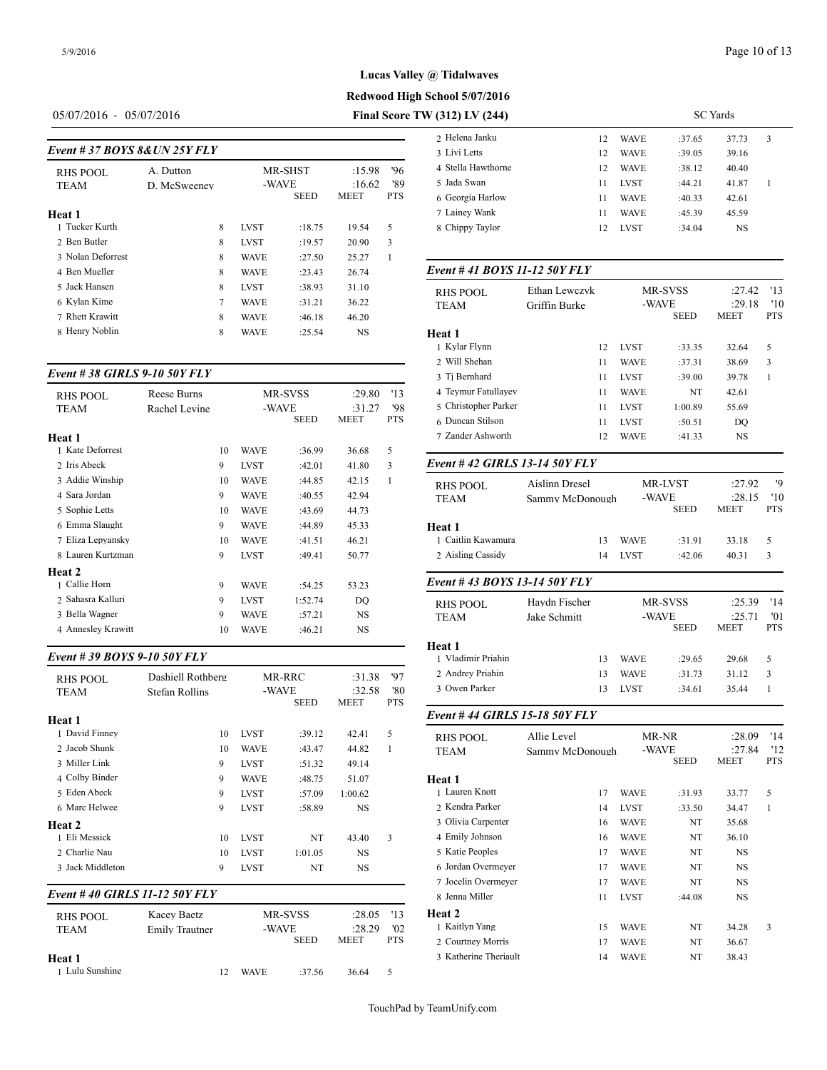## Page 10 of 13

# **Redwood High School 5/07/2016 Lucas Valley @ Tidalwaves**

# 05/07/2016 - 05/07/2016 **Final Score**

|                               |              |   |             |                |           |            | 2. Helena Janku   |
|-------------------------------|--------------|---|-------------|----------------|-----------|------------|-------------------|
| Event # 37 BOYS 8& UN 25Y FLY |              |   |             |                |           |            | 3 Livi Letts      |
| RHS POOL                      | A. Dutton    |   |             | <b>MR-SHST</b> | :15.98    | '96        | 4 Stella Hawthorn |
| <b>TEAM</b>                   | D. McSweenev |   | -WAVE       |                | :16.62    | '89        | 5 Jada Swan       |
|                               |              |   |             | <b>SEED</b>    | MEET      | <b>PTS</b> | 6 Georgia Harlow  |
| Heat 1                        |              |   |             |                |           |            | 7 Lainey Wank     |
| 1 Tucker Kurth                |              | 8 | <b>LVST</b> | :18.75         | 19.54     | 5          | 8 Chippy Taylor   |
| 2 Ben Butler                  |              | 8 | <b>LVST</b> | :19.57         | 20.90     | 3          |                   |
| 3 Nolan Deforrest             |              | 8 | <b>WAVE</b> | :27.50         | 25.27     | 1          |                   |
| 4 Ben Mueller                 |              | 8 | <b>WAVE</b> | :23.43         | 26.74     |            | Event #41 BOY     |
| 5 Jack Hansen                 |              | 8 | <b>LVST</b> | :38.93         | 31.10     |            | RHS POOL          |
| 6 Kylan Kime                  |              | 7 | <b>WAVE</b> | :31.21         | 36.22     |            | <b>TEAM</b>       |
| 7 Rhett Krawitt               |              | 8 | <b>WAVE</b> | :46.18         | 46.20     |            |                   |
| 8 Henry Noblin                |              | 8 | <b>WAVE</b> | :25.54         | <b>NS</b> |            | Heat 1            |

#### *Event # 38 GIRLS 9-10 50Y FLY*

| <b>RHS POOL</b><br><b>TEAM</b> | Reese Burns<br>Rachel Levine |    |             | MR-SVSS<br>-WAVE<br><b>SEED</b> | :29.80<br>:31.27<br>MEET | '13<br>'98<br><b>PTS</b> | 4 Teymur Fatullay<br>5 Christopher Parl<br>6 Duncan Stilson |
|--------------------------------|------------------------------|----|-------------|---------------------------------|--------------------------|--------------------------|-------------------------------------------------------------|
| Heat 1                         |                              |    |             |                                 |                          |                          | 7 Zander Ashwort                                            |
| 1 Kate Deforrest               |                              | 10 | <b>WAVE</b> | :36.99                          | 36.68                    | 5                        |                                                             |
| 2 Iris Abeck                   |                              | 9  | <b>LVST</b> | :42.01                          | 41.80                    | 3                        | Event #42 GIRI                                              |
| 3 Addie Winship                |                              | 10 | <b>WAVE</b> | :44.85                          | 42.15                    | 1                        | <b>RHS POOL</b>                                             |
| 4 Sara Jordan                  |                              | 9  | <b>WAVE</b> | :40.55                          | 42.94                    |                          | <b>TEAM</b>                                                 |
| 5 Sophie Letts                 |                              | 10 | <b>WAVE</b> | :43.69                          | 44.73                    |                          |                                                             |
| 6 Emma Slaught                 |                              | 9  | <b>WAVE</b> | :44.89                          | 45.33                    |                          | Heat 1                                                      |
| 7 Eliza Lepyansky              |                              | 10 | <b>WAVE</b> | :41.51                          | 46.21                    |                          | 1 Caitlin Kawamu                                            |
| 8 Lauren Kurtzman              |                              | 9  | <b>LVST</b> | :49.41                          | 50.77                    |                          | 2 Aisling Cassidy                                           |
| Heat 2                         |                              |    |             |                                 |                          |                          |                                                             |
| 1 Callie Horn                  |                              | 9  | <b>WAVE</b> | :54.25                          | 53.23                    |                          | Event #43 BOY                                               |
| 2 Sahasra Kalluri              |                              | 9  | <b>LVST</b> | 1:52.74                         | DQ                       |                          | <b>RHS POOL</b>                                             |
| 3 Bella Wagner                 |                              | 9  | <b>WAVE</b> | :57.21                          | NS                       |                          | <b>TEAM</b>                                                 |
| 4 Anneslev Krawitt             |                              | 10 | <b>WAVE</b> | :46.21                          | <b>NS</b>                |                          |                                                             |
|                                |                              |    |             |                                 |                          |                          |                                                             |

### *Event # 39 BOYS 9-10 50Y FLY*

| <b>RHS POOL</b><br><b>TEAM</b> | Dashiell Rothberg<br><b>Stefan Rollins</b> |             | MR-RRC<br>-WAVE<br><b>SEED</b> | :31.38<br>:32.58<br><b>MEET</b> | '97<br>'80<br><b>PTS</b> | 2 Andrey Priahin<br>3 Owen Parker | 13<br>13        | <b>WAVE</b><br><b>LVST</b> | :31.73<br>:34.61 | 31.12<br>35.44 | 3          |
|--------------------------------|--------------------------------------------|-------------|--------------------------------|---------------------------------|--------------------------|-----------------------------------|-----------------|----------------------------|------------------|----------------|------------|
| Heat 1                         |                                            |             |                                |                                 |                          | Event #44 GIRLS 15-18 50Y FLY     |                 |                            |                  |                |            |
| 1 David Finney                 | 10                                         | <b>LVST</b> | :39.12                         | 42.41                           | 5                        | <b>RHS POOL</b>                   | Allie Level     |                            | MR-NR            | :28.09         | '14        |
| 2 Jacob Shunk                  | 10                                         | <b>WAVE</b> | :43.47                         | 44.82                           | $\overline{1}$           | <b>TEAM</b>                       | Sammy McDonough |                            | -WAVE            | :27.84         | '12        |
| 3 Miller Link                  | 9                                          | <b>LVST</b> | :51.32                         | 49.14                           |                          |                                   |                 |                            | <b>SEED</b>      | <b>MEET</b>    | <b>PTS</b> |
| 4 Colby Binder                 | 9                                          | <b>WAVE</b> | :48.75                         | 51.07                           |                          | Heat 1                            |                 |                            |                  |                |            |
| 5 Eden Abeck                   | 9                                          | <b>LVST</b> | :57.09                         | 1:00.62                         |                          | 1 Lauren Knott                    | 17              | <b>WAVE</b>                | :31.93           | 33.77          | 5          |
| 6 Marc Helwee                  | 9                                          | <b>LVST</b> | :58.89                         | <b>NS</b>                       |                          | 2 Kendra Parker                   | 14              | <b>LVST</b>                | :33.50           | 34.47          |            |
| Heat 2                         |                                            |             |                                |                                 |                          | 3 Olivia Carpenter                | 16              | <b>WAVE</b>                | NT               | 35.68          |            |
| 1 Eli Messick                  | 10                                         | <b>LVST</b> | NT                             | 43.40                           | 3                        | 4 Emily Johnson                   | 16              | <b>WAVE</b>                | NT               | 36.10          |            |
| 2 Charlie Nau                  | 10                                         | <b>LVST</b> | 1:01.05                        | <b>NS</b>                       |                          | 5 Katie Peoples                   | 17              | <b>WAVE</b>                | NT               | $_{\rm NS}$    |            |
| 3 Jack Middleton               | 9                                          | <b>LVST</b> | NT                             | <b>NS</b>                       |                          | 6 Jordan Overmeyer                | 17              | <b>WAVE</b>                | NT               | $_{\rm NS}$    |            |
|                                |                                            |             |                                |                                 |                          | 7 Jocelin Overmeyer               | 17              | <b>WAVE</b>                | NT               | $_{\rm NS}$    |            |
| Event #40 GIRLS 11-12 50Y FLY  |                                            |             |                                |                                 |                          | 8 Jenna Miller                    | 11              | <b>LVST</b>                | :44.08           | $_{\rm NS}$    |            |
| <b>RHS POOL</b>                | Kacev Baetz                                |             | MR-SVSS                        | :28.05                          | '13                      | Heat 2                            |                 |                            |                  |                |            |
| <b>TEAM</b>                    | <b>Emily Trautner</b>                      |             | -WAVE                          | :28.29                          | '02                      | 1 Kaitlyn Yang                    | 15              | <b>WAVE</b>                | NT               | 34.28          | 3          |
|                                |                                            |             | <b>SEED</b>                    | <b>MEET</b>                     | <b>PTS</b>               | 2 Courtney Morris                 | 17              | <b>WAVE</b>                | NT               | 36.67          |            |
| Heat 1                         |                                            |             |                                |                                 |                          | 3 Katherine Theriault             | 14              | <b>WAVE</b>                | NT               | 38.43          |            |

1 Lulu Sunshine 12 WAVE :37.56 36.64 5

| TW (312) LV (244)  |     | SC Yards    |        |       |    |  |  |  |  |  |
|--------------------|-----|-------------|--------|-------|----|--|--|--|--|--|
| 2 Helena Janku     | 12  | <b>WAVE</b> | :37.65 | 37.73 | -3 |  |  |  |  |  |
| 3 Livi Letts       | 12  | <b>WAVE</b> | :39.05 | 39.16 |    |  |  |  |  |  |
| 4 Stella Hawthorne | 12. | <b>WAVE</b> | :38.12 | 40.40 |    |  |  |  |  |  |
| 5 Jada Swan        |     | <b>LVST</b> | :44.21 | 41.87 |    |  |  |  |  |  |

| 4 Stella Hawthorne | 12. | WAVE.       | :38.12 | 40.40 |  |
|--------------------|-----|-------------|--------|-------|--|
| 5 Jada Swan        | 11  | <b>LVST</b> | :44.21 | 41.87 |  |
| 6 Georgia Harlow   | 11  | <b>WAVE</b> | :40.33 | 42.61 |  |
| 7 Lainey Wank      | 11  | <b>WAVE</b> | :45.39 | 45.59 |  |
| 8 Chippy Taylor    | 12. | <b>LVST</b> | :34.04 | NS    |  |
|                    |     |             |        |       |  |

# *Event # 41 BOYS 11-12 50Y FLY*

| <b>RHS POOL</b>               | Ethan Lewczyk   |             | MR-SVSS        | :27.42         | '13               |
|-------------------------------|-----------------|-------------|----------------|----------------|-------------------|
| <b>TEAM</b>                   | Griffin Burke   | -WAVE       | <b>SEED</b>    | :29.18<br>MEET | '10<br><b>PTS</b> |
| Heat 1                        |                 |             |                |                |                   |
| 1 Kylar Flynn                 | 12              | <b>LVST</b> | :33.35         | 32.64          | 5                 |
| 2 Will Shehan                 | 11              | <b>WAVE</b> | :37.31         | 38.69          | 3                 |
| 3 Tj Bernhard                 | 11              | <b>LVST</b> | :39.00         | 39.78          | $\mathbf{1}$      |
| 4 Teymur Fatullayev           | 11              | <b>WAVE</b> | NT             | 42.61          |                   |
| 5 Christopher Parker          | 11              | <b>LVST</b> | 1:00.89        | 55.69          |                   |
| 6 Duncan Stilson              | 11              | <b>LVST</b> | :50.51         | DQ             |                   |
| 7 Zander Ashworth             | 12              | WAVE        | :41.33         | NS             |                   |
| Event #42 GIRLS 13-14 50Y FLY |                 |             |                |                |                   |
| <b>RHS POOL</b>               | Aislinn Dresel  |             | <b>MR-LVST</b> | :27.92         | '9                |
| <b>TEAM</b>                   | Sammy McDonough | -WAVE       |                | :28.15         | '10               |
|                               |                 |             | <b>SEED</b>    | <b>MEET</b>    | <b>PTS</b>        |
| Heat 1                        |                 |             |                |                |                   |
| 1 Caitlin Kawamura            | 13              | <b>WAVE</b> | :31.91         | 33.18          | 5                 |
| 2 Aisling Cassidy             | 14              | <b>LVST</b> | :42.06         | 40.31          | 3                 |
| Event #43 BOYS 13-14 50Y FLY  |                 |             |                |                |                   |
| <b>RHS POOL</b>               | Haydn Fischer   |             | MR-SVSS        | :25.39         | '14               |
| TEAM                          | Jake Schmitt    | -WAVE       |                | :25.71         | '01               |
|                               |                 |             | <b>SEED</b>    | MEET           | <b>PTS</b>        |
| Heat 1                        |                 |             |                |                |                   |
| 1 Vladimir Priahin            | 13              | <b>WAVE</b> | :29.65         | 29.68          | 5                 |
| 2 Andrey Priahin              | 13              | WAVE        | :31.73         | 31.12          | 3                 |
| 3 Owen Parker                 | 13              | <b>LVST</b> | :34.61         | 35.44          | $\mathbf{1}$      |
| Event #44 GIRLS 15-18 50Y FLY |                 |             |                |                |                   |
| <b>RHS POOL</b>               | Allie Level     | MR-NR       |                | :28.09         | '14               |
| TEAM                          | Sammy McDonough | -WAVE       |                | :27.84         | '12               |
|                               |                 |             | <b>SEED</b>    | <b>MEET</b>    | <b>PTS</b>        |
| Heat 1                        |                 |             |                |                |                   |
| 1 Lauren Knott                | 17              | WAVE        | :31.93         | 33.77          | 5                 |
| 2 Kendra Parker               | 14              | LVST        | :33.50         | 34.47          | 1                 |
| 3 Olivia Carpenter            | 16              | <b>WAVE</b> | NT             | 35.68          |                   |
|                               |                 |             |                |                |                   |

TouchPad by TeamUnify.com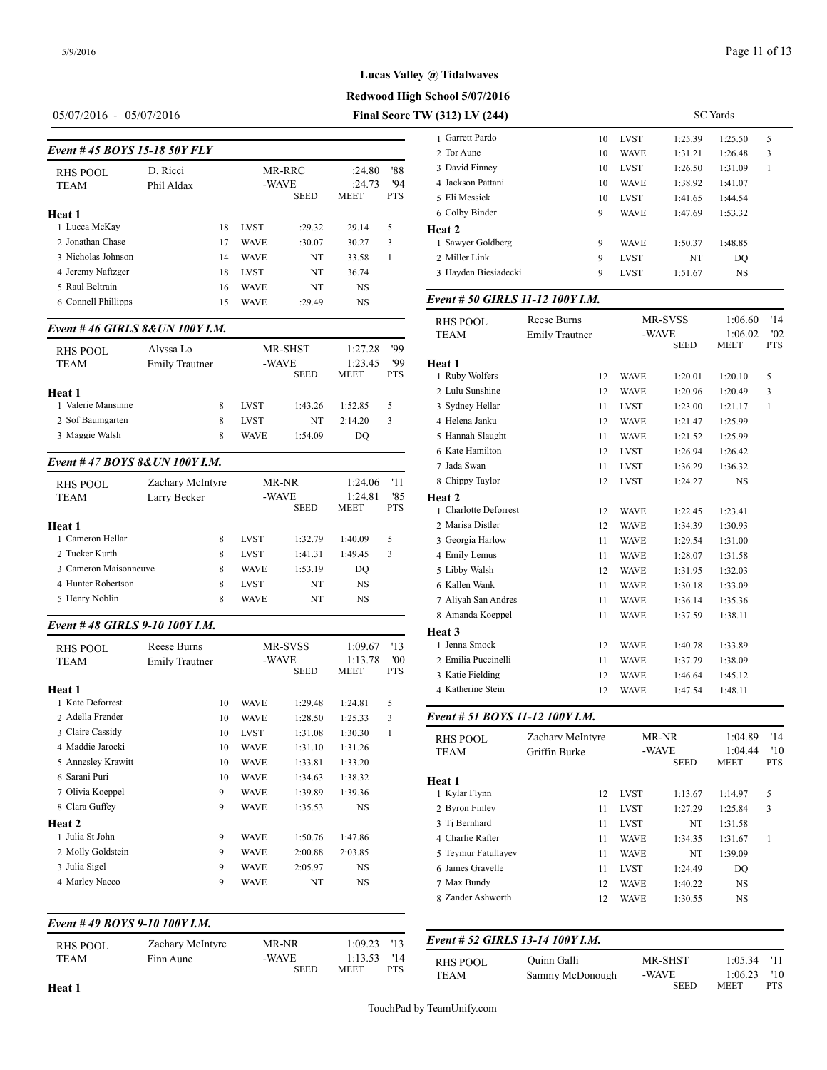# **Lucas Valley @ Tidalwaves**

**Redwood High School 5/07/2016**

05/07/2016 - 05/07/2016 **Final Score TW (312) LV (244)**

|                                      |            |            |             |             |             |            | 1 Garrett Pardo   |
|--------------------------------------|------------|------------|-------------|-------------|-------------|------------|-------------------|
| <i>Event # 45 BOYS 15-18 50Y FLY</i> |            | 2 Tor Aune |             |             |             |            |                   |
| RHS POOL                             | D. Ricci   |            |             | MR-RRC      | :24.80      | '88        | 3 David Finney    |
| <b>TEAM</b>                          | Phil Aldax |            | -WAVE       |             | :24.73      | '94        | 4 Jackson Pattani |
|                                      |            |            |             | <b>SEED</b> | <b>MEET</b> | <b>PTS</b> | 5 Eli Messick     |
| Heat 1                               |            |            |             |             |             |            | 6 Colby Binder    |
| 1 Lucca McKay                        |            | 18         | <b>LVST</b> | :29.32      | 29.14       | 5          | Heat 2            |
| 2 Jonathan Chase                     |            | 17         | <b>WAVE</b> | :30.07      | 30.27       | 3          | 1 Sawver Goldber  |
| 3 Nicholas Johnson                   |            | 14         | <b>WAVE</b> | NT          | 33.58       | 1          | 2 Miller Link     |
| 4 Jeremy Naftzger                    |            | 18         | <b>LVST</b> | NT          | 36.74       |            | 3 Hayden Biesiade |
| 5 Raul Beltrain                      |            | 16         | <b>WAVE</b> | NT          | NS          |            |                   |
| 6 Connell Phillipps                  |            | 15         | <b>WAVE</b> | :29.49      | NS          |            | Event # 50 GIRI   |
|                                      |            |            |             |             |             |            |                   |

#### *Event # 46 GIRLS 8&UN 100Y I.M.*

|                                |                  |   |             |             |                 |                   | 1 EAM                           |  |
|--------------------------------|------------------|---|-------------|-------------|-----------------|-------------------|---------------------------------|--|
| <b>RHS POOL</b>                | Alyssa Lo        |   |             | MR-SHST     | 1:27.28         | '99               |                                 |  |
| <b>TEAM</b>                    | Emily Trautner   |   | -WAVE       | <b>SEED</b> | 1:23.45<br>MEET | '99<br><b>PTS</b> | <b>Heat 1</b><br>1 Ruby Wolfers |  |
| Heat 1                         |                  |   |             |             |                 |                   | 2 Lulu Sunshine                 |  |
| 1 Valerie Mansinne             |                  | 8 | <b>LVST</b> | 1:43.26     | 1:52.85         | 5                 | 3 Sydney Hellar                 |  |
| 2 Sof Baumgarten               |                  | 8 | <b>LVST</b> | NT          | 2:14.20         | 3                 | 4 Helena Janku                  |  |
| 3 Maggie Walsh                 | 8                |   | <b>WAVE</b> | 1:54.09     | DQ              |                   | 5 Hannah Slaught                |  |
|                                |                  |   |             |             |                 |                   | 6 Kate Hamilton                 |  |
| Event #47 BOYS 8& UN 100Y I.M. |                  |   |             |             |                 |                   | 7 Jada Swan                     |  |
| <b>RHS POOL</b>                | Zachary McIntyre |   |             | MR-NR       | 1:24.06         | '11               | 8 Chippy Taylor                 |  |
| <b>TEAM</b>                    | Larry Becker     |   | -WAVE       | <b>SEED</b> | 1:24.81<br>MEET | '85<br><b>PTS</b> | Heat 2<br>1 Charlotte Defori    |  |
| Heat 1                         |                  |   |             |             |                 |                   | 2 Marisa Distler                |  |
| 1 Cameron Hellar               |                  | 8 | <b>LVST</b> | 1:32.79     | 1:40.09         | 5                 | 3 Georgia Harlow                |  |
| 2 Tucker Kurth                 |                  | 8 | <b>LVST</b> | 1:41.31     | 1:49.45         | 3                 | 4 Emily Lemus                   |  |
| 3 Cameron Maisonneuve          | 8                |   | <b>WAVE</b> | 1:53.19     | DQ              |                   | 5 Libby Walsh                   |  |

4 Hunter Robertson 8 LVST NT NS 5 Henry Noblin 8 WAVE NT NS

## *Event # 48 GIRLS 9-10 100Y I.M.*

| <b>RHS POOL</b>    | Reese Burns           |             | MR-SVSS     | 1:09.67   | '13        | 1 Jenna Smock      |
|--------------------|-----------------------|-------------|-------------|-----------|------------|--------------------|
| <b>TEAM</b>        | <b>Emily Trautner</b> |             | -WAVE       |           | '00        | 2 Emilia Puccinell |
|                    |                       |             | <b>SEED</b> | MEET      | <b>PTS</b> | 3 Katie Fielding   |
| Heat 1             |                       |             |             |           |            | 4 Katherine Stein  |
| 1 Kate Deforrest   | 10                    | <b>WAVE</b> | 1:29.48     | 1:24.81   | 5          |                    |
| 2 Adella Frender   | 10                    | WAVE        | 1:28.50     | 1:25.33   | 3          | Event # 51 $BOY$   |
| 3 Claire Cassidy   | 10                    | <b>LVST</b> | 1:31.08     | 1:30.30   | 1          | <b>RHS POOL</b>    |
| 4 Maddie Jarocki   | 10                    | WAVE        | 1:31.10     | 1:31.26   |            | <b>TEAM</b>        |
| 5 Annesley Krawitt | 10                    | <b>WAVE</b> | 1:33.81     | 1:33.20   |            |                    |
| 6 Sarani Puri      | 10                    | WAVE        | 1:34.63     | 1:38.32   |            | Heat 1             |
| 7 Olivia Koeppel   | 9                     | <b>WAVE</b> | 1:39.89     | 1:39.36   |            | 1 Kylar Flynn      |
| 8 Clara Guffey     | 9                     | <b>WAVE</b> | 1:35.53     | <b>NS</b> |            | 2 Byron Finley     |
| Heat 2             |                       |             |             |           |            | 3 Ti Bernhard      |
| 1 Julia St John    | 9                     | <b>WAVE</b> | 1:50.76     | 1:47.86   |            | 4 Charlie Rafter   |
| 2 Molly Goldstein  | 9                     | <b>WAVE</b> | 2:00.88     | 2:03.85   |            | 5 Teymur Fatullay  |
| 3 Julia Sigel      | 9                     | <b>WAVE</b> | 2:05.97     | <b>NS</b> |            | 6 James Gravelle   |
| 4 Marley Nacco     | 9                     | <b>WAVE</b> | NT          | <b>NS</b> |            | 7 Max Bundy        |
|                    |                       |             |             |           |            |                    |

#### *Event # 49 BOYS 9-10 100Y I.M.*

| RHS POOL | Zachary McIntyre | MR-NR                | 1:09.23<br>13                 | Event # 52 GIRI         |
|----------|------------------|----------------------|-------------------------------|-------------------------|
| TEAM     | Finn Aune        | -WAVE<br><b>SEED</b> | '14<br>1:13.53<br>PTS<br>MEET | <b>RHS POOL</b><br>TEAM |

| 50.76<br>1:47.86   | 4 Charlie          |
|--------------------|--------------------|
| 00.88<br>2:03.85   | 5 Teymu            |
| 05.97<br><b>NS</b> | 6 James            |
| NT<br>NS           | 7 Max B            |
|                    | 8 Zander           |
|                    |                    |
|                    |                    |
| 1:09.23<br>'13     | Event # $\ddot{z}$ |
| '14<br>1:13.53     | RHS PC             |

| 4 Jackson Pattani                |                       | 10 | <b>WAVE</b> | 1:38.92     | 1:41.07            |              |
|----------------------------------|-----------------------|----|-------------|-------------|--------------------|--------------|
| 5 Eli Messick                    |                       | 10 | LVST        | 1:41.65     | 1:44.54            |              |
| 6 Colby Binder                   | 9                     |    | WAVE        | 1:47.69     | 1:53.32            |              |
| Heat 2                           |                       |    |             |             |                    |              |
| 1 Sawyer Goldberg                | 9                     |    | WAVE        | 1:50.37     | 1:48.85            |              |
| 2 Miller Link                    | 9                     |    | LVST        | NT          | DQ                 |              |
| 3 Hayden Biesiadecki             | 9                     |    | LVST        | 1:51.67     | NS                 |              |
| Event # 50 GIRLS 11-12 100Y I.M. |                       |    |             |             |                    |              |
|                                  |                       |    |             |             |                    |              |
| <b>RHS POOL</b>                  | Reese Burns           |    | -WAVE       | MR-SVSS     | 1:06.60<br>1:06.02 | '14<br>'02   |
| <b>TEAM</b>                      | <b>Emily Trautner</b> |    |             | SEED        | MEET               | PTS          |
| Heat 1                           |                       |    |             |             |                    |              |
| 1 Ruby Wolfers                   |                       | 12 | WAVE        | 1:20.01     | 1:20.10            | 5            |
| 2 Lulu Sunshine                  |                       | 12 | <b>WAVE</b> | 1:20.96     | 1:20.49            | 3            |
| 3 Sydney Hellar                  | 11                    |    | LVST        | 1:23.00     | 1:21.17            | 1            |
| 4 Helena Janku                   |                       | 12 | <b>WAVE</b> | 1:21.47     | 1:25.99            |              |
| 5 Hannah Slaught                 | 11                    |    | <b>WAVE</b> | 1:21.52     | 1:25.99            |              |
| 6 Kate Hamilton                  |                       | 12 | LVST        | 1:26.94     | 1:26.42            |              |
| 7 Jada Swan                      | 11                    |    | LVST        | 1:36.29     | 1:36.32            |              |
| 8 Chippy Taylor                  |                       | 12 | <b>LVST</b> | 1:24.27     | NS                 |              |
| Heat 2                           |                       |    |             |             |                    |              |
| 1 Charlotte Deforrest            |                       | 12 | WAVE        | 1:22.45     | 1:23.41            |              |
| 2 Marisa Distler                 |                       | 12 | <b>WAVE</b> | 1:34.39     | 1:30.93            |              |
| 3 Georgia Harlow                 | 11                    |    | <b>WAVE</b> | 1:29.54     | 1:31.00            |              |
| 4 Emily Lemus                    | 11                    |    | <b>WAVE</b> | 1:28.07     | 1:31.58            |              |
| 5 Libby Walsh                    |                       | 12 | WAVE        | 1:31.95     | 1:32.03            |              |
| 6 Kallen Wank                    | 11                    |    | <b>WAVE</b> | 1:30.18     | 1:33.09            |              |
| 7 Aliyah San Andres              | 11                    |    | WAVE        | 1:36.14     | 1:35.36            |              |
| 8 Amanda Koeppel                 | 11                    |    | WAVE        | 1:37.59     | 1:38.11            |              |
| <b>Heat 3</b>                    |                       |    |             |             |                    |              |
| 1 Jenna Smock                    |                       | 12 | <b>WAVE</b> | 1:40.78     | 1:33.89            |              |
| 2 Emilia Puccinelli              |                       | 11 | <b>WAVE</b> | 1:37.79     | 1:38.09            |              |
| 3 Katie Fielding                 |                       | 12 | <b>WAVE</b> | 1:46.64     | 1:45.12            |              |
| 4 Katherine Stein                |                       | 12 | WAVE        | 1:47.54     | 1:48.11            |              |
| Event # 51 BOYS 11-12 100Y I.M.  |                       |    |             |             |                    |              |
| <b>RHS POOL</b>                  | Zachary McIntyre      |    | MR-NR       |             | 1:04.89            | '14          |
| <b>TEAM</b>                      | Griffin Burke         |    | -WAVE       |             | 1:04.44            | '10          |
|                                  |                       |    |             | <b>SEED</b> | MEET               | PTS          |
| Heat 1                           |                       |    |             |             |                    |              |
| 1 Kylar Flynn                    |                       | 12 | LVST        | 1:13.67     | 1:14.97            | 5            |
| 2 Byron Finley                   | 11                    |    | LVST        | 1:27.29     | 1:25.84            | 3            |
| 3 Ti Bernhard                    | 11                    |    | LVST        | NT          | 1:31.58            |              |
| 4 Charlie Rafter                 | 11                    |    | <b>WAVE</b> | 1:34.35     | 1:31.67            | $\mathbf{1}$ |
| 5 Teymur Fatullayev              |                       | 11 | <b>WAVE</b> | NT          | 1:39.09            |              |
| 6 James Gravelle                 |                       | 11 | LVST        | 1:24.49     | DQ                 |              |
| 7 Max Bundy                      |                       | 12 | <b>WAVE</b> | 1:40.22     | NS                 |              |
| 8 Zander Ashworth                |                       | 12 | WAVE        | 1:30.55     | NS                 |              |
|                                  |                       |    |             |             |                    |              |

1 Garrett Pardo 10 LVST 1:25.39 1:25.50 5

3 David Finney 10 LVST 1:26.50 1:31.09 1

2 Tor Aune 10 WAVE 1:31.21 1:26.48 3

#### *Event # 52 GIRLS 13-14 100Y I.M.*

| <b>RHS POOL</b> | Ouinn Galli     | <b>MR-SHST</b> | 1:05.34     | 11         |
|-----------------|-----------------|----------------|-------------|------------|
| <b>TEAM</b>     | Sammy McDonough | -WAVE          | 1:06.23     | '10        |
|                 |                 | <b>SEED</b>    | <b>MEET</b> | <b>PTS</b> |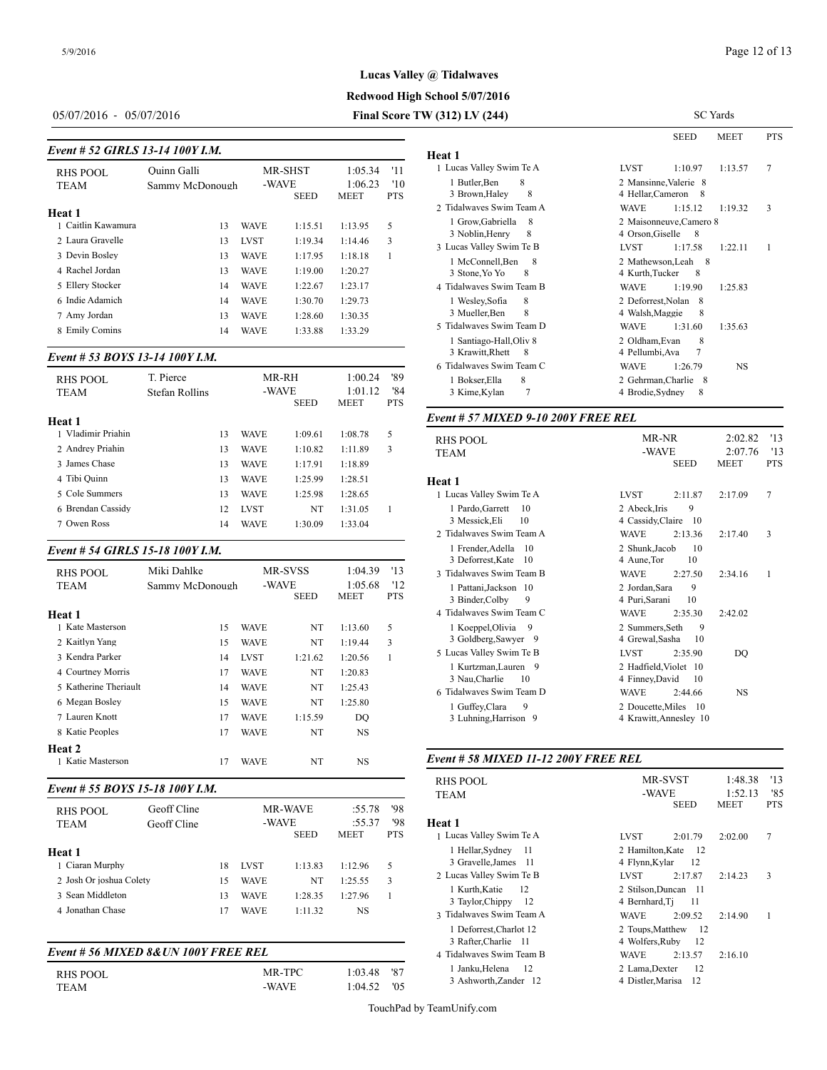# **Lucas Valley @ Tidalwaves**

# **Redwood High School 5/07/2016**

# 05/07/2016 - 05/07/2016 **Final Score TW (312) LV (244)**

| Event # 52 GIRLS 13-14 100Y I.M. |                 | Heat 1      |                      |                        |                   |                                                     |
|----------------------------------|-----------------|-------------|----------------------|------------------------|-------------------|-----------------------------------------------------|
| <b>RHS POOL</b>                  | Ouinn Galli     |             | MR-SHST              | 1:05.34                | '11               | 1 Lucas Valley Sw                                   |
| <b>TEAM</b>                      | Sammy McDonough |             | -WAVE<br><b>SEED</b> | 1:06.23<br><b>MEET</b> | '10<br><b>PTS</b> | 1 Butler, Ben<br>3 Brown, Haley<br>2 Tidalwaves Swi |
| Heat 1<br>1 Caitlin Kawamura     | 13              | WAVE        | 1:15.51              | 1:13.95                | 5                 | 1 Grow, Gabrie                                      |
| 2 Laura Gravelle                 | 13              | <b>LVST</b> | 1:19.34              | 1:14.46                | 3                 | 3 Noblin, Henr<br>3 Lucas Valley Sw                 |
| 3 Devin Bosley                   | 13              | <b>WAVE</b> | 1:17.95              | 1:18.18                | 1                 | 1 McConnell.E                                       |
| 4 Rachel Jordan                  | 13              | <b>WAVE</b> | 1:19.00              | 1:20.27                |                   | 3 Stone, Yo Yo                                      |
| 5 Ellery Stocker                 | 14              | <b>WAVE</b> | 1:22.67              | 1:23.17                |                   | 4 Tidalwaves Swi                                    |
| 6 Indie Adamich                  | 14              | <b>WAVE</b> | 1:30.70              | 1:29.73                |                   | 1 Wesley, Sofia                                     |
| 7 Amy Jordan                     | 13              | <b>WAVE</b> | 1:28.60              | 1:30.35                |                   | 3 Mueller, Ben                                      |
| 8 Emily Comins                   | 14              | <b>WAVE</b> | 1:33.88              | 1:33.29                |                   | 5 Tidalwaves Swi                                    |

#### *Event # 53 BOYS 13-14 100Y I.M.*

| <b>RHS POOL</b><br><b>TEAM</b> | T. Pierce<br>Stefan Rollins | MR-RH<br>-WAVE<br><b>SEED</b> |             | '89<br>1:00.24<br>'84<br>1:01.12<br><b>MEET</b><br><b>PTS</b> |         | 1 Bokser.Ella<br>3 Kime, Kylan |                   |
|--------------------------------|-----------------------------|-------------------------------|-------------|---------------------------------------------------------------|---------|--------------------------------|-------------------|
| <b>Heat 1</b>                  |                             |                               |             |                                                               |         |                                | Event # $57$ MIX  |
| 1 Vladimir Priahin             |                             | 13                            | <b>WAVE</b> | 1:09.61                                                       | 1:08.78 | 5                              | <b>RHS POOL</b>   |
| 2 Andrey Priahin               |                             | 13                            | <b>WAVE</b> | 1:10.82                                                       | 1:11.89 | 3                              | <b>TEAM</b>       |
| 3 James Chase                  |                             | 13                            | <b>WAVE</b> | 1:17.91                                                       | 1:18.89 |                                |                   |
| 4 Tibi Ouinn                   |                             | 13                            | <b>WAVE</b> | 1:25.99                                                       | 1:28.51 |                                | Heat 1            |
| 5 Cole Summers                 |                             | 13                            | <b>WAVE</b> | 1:25.98                                                       | 1:28.65 |                                | 1 Lucas Valley Sw |
| 6 Brendan Cassidy              |                             | 12                            | <b>LVST</b> | NT                                                            | 1:31.05 |                                | 1 Pardo, Garret   |
| 7 Owen Ross                    |                             | 14                            | <b>WAVE</b> | 1:30.09                                                       | 1:33.04 |                                | 3 Messick.Eli     |

#### *Event # 54 GIRLS 15-18 100Y I.M.*

| <b>RHS POOL</b><br><b>TEAM</b><br>Heat 1                                                                                                                   | Miki Dahlke<br>Sammy McDonough               | MR-SVSS<br>-WAVE                                                                         | <b>SEED</b>                                            | 1:04.39<br>1:05.68<br><b>MEET</b>                                                 | '13<br>'12<br><b>PTS</b> | J DUIVILUSULA<br>3 Tidalwaves Swi<br>1 Pattani.Jacks<br>3 Binder, Colby<br>4 Tidalwaves Swi                                                          |
|------------------------------------------------------------------------------------------------------------------------------------------------------------|----------------------------------------------|------------------------------------------------------------------------------------------|--------------------------------------------------------|-----------------------------------------------------------------------------------|--------------------------|------------------------------------------------------------------------------------------------------------------------------------------------------|
| 1 Kate Masterson<br>2 Kaitlyn Yang<br>3 Kendra Parker<br>4 Courtney Morris<br>5 Katherine Theriault<br>6 Megan Bosley<br>7 Lauren Knott<br>8 Katie Peoples | 15<br>15<br>14<br>17<br>14<br>15<br>17<br>17 | <b>WAVE</b><br>WAVE<br><b>LVST</b><br>WAVE<br>WAVE<br><b>WAVE</b><br>WAVE<br><b>WAVE</b> | NT<br>NT<br>1:21.62<br>NT<br>NT<br>NT<br>1:15.59<br>NT | 1:13.60<br>1:19.44<br>1:20.56<br>1:20.83<br>1:25.43<br>1:25.80<br>DO<br><b>NS</b> | 5<br>3<br>1              | 1 Koeppel, Oliv<br>3 Goldberg, Sav<br>5 Lucas Valley Sw<br>1 Kurtzman, La<br>3 Nau, Charlie<br>6 Tidalwaves Swi<br>1 Guffey, Clara<br>3 Luhning, Har |
| Heat 2<br>1 Katie Masterson                                                                                                                                | 17                                           | WAVE                                                                                     | NT                                                     | <b>NS</b>                                                                         |                          | Event # 58 MIX                                                                                                                                       |

### *Event # 55 BOYS 15-18 100Y I.M.*

| <b>RHS POOL</b><br><b>TEAM</b>                                  | Geoff Cline<br>Geoff Cline |                | -WAVE                                     | <b>MR-WAVE</b><br><b>SEED</b> | :55.78<br>:55.37<br><b>MEET</b> | '98<br>'98<br><b>PTS</b> | .<br>Heat 1<br>1 Lucas Valley Sw                        |
|-----------------------------------------------------------------|----------------------------|----------------|-------------------------------------------|-------------------------------|---------------------------------|--------------------------|---------------------------------------------------------|
| Heat 1<br>1 Ciaran Murphy                                       |                            | 18             | <b>LVST</b>                               | 1:13.83                       | 1:12.96                         | 5                        | 1 Hellar, Sydne<br>3 Gravelle, Jam<br>2 Lucas Valley Sw |
| 2 Josh Or joshua Colety<br>3 Sean Middleton<br>4 Jonathan Chase |                            | 15<br>13<br>17 | <b>WAVE</b><br><b>WAVE</b><br><b>WAVE</b> | NT<br>1:28.35<br>1:11.32      | 1:25.55<br>1:27.96<br>NS        | 3                        | 1 Kurth, Katie<br>3 Taylor, Chipp<br>3 Tidalwaves Swi   |

## *Event # 56 MIXED 8&UN 100Y FREE REL*

| RHS POOL | MR-TPC | 1:03.48 '87     | 1 Janku.Helena |
|----------|--------|-----------------|----------------|
| TEAM     | -WAVE  | $1:04.52$ $'05$ | 3 Ashworth.Za  |

|                                                  |                                        | <b>SEED</b>                  | MEET      | <b>PTS</b> |
|--------------------------------------------------|----------------------------------------|------------------------------|-----------|------------|
| Heat 1                                           |                                        |                              |           |            |
| 1 Lucas Valley Swim Te A                         | <b>LVST</b>                            | 1:10.97                      | 1:13.57   | 7          |
| 1 Butler, Ben<br>8                               |                                        | 2 Mansinne, Valerie 8        |           |            |
| 8<br>3 Brown, Haley                              | 4 Hellar, Cameron                      | - 8                          |           |            |
| 2. Tidalwayes Swim Team A                        | <b>WAVE</b>                            | 1:15.12                      | 1:19.32   | 3          |
| 1 Grow, Gabriella<br>8<br>3 Noblin, Henry<br>8   | 4 Orson, Giselle                       | 2 Maisonneuve, Camero 8<br>8 |           |            |
| 3 Lucas Valley Swim Te B                         | <b>LVST</b>                            | 1:17.58                      | 1:22.11   | 1          |
| 1 McConnell, Ben<br>8<br>8<br>3 Stone, Yo Yo     | 4 Kurth, Tucker                        | 2 Mathewson. Leah 8<br>8     |           |            |
| 4 Tidalwayes Swim Team B                         | <b>WAVE</b>                            | 1:19.90                      | 1:25.83   |            |
| 8<br>1 Wesley, Sofia<br>8<br>3 Mueller, Ben      | 2 Deforrest, Nolan<br>4 Walsh, Maggie  | - 8<br>8                     |           |            |
| 5 Tidalwaves Swim Team D                         | <b>WAVE</b>                            | 1:31.60                      | 1:35.63   |            |
| 1 Santiago-Hall, Oliv 8<br>3 Krawitt, Rhett<br>8 | 2 Oldham, Evan<br>4 Pellumbi, Ava      | 8<br>7                       |           |            |
| 6 Tidalwaves Swim Team C                         | <b>WAVE</b>                            | 1:26.79                      | <b>NS</b> |            |
| 1 Bokser, Ella<br>8<br>7<br>3 Kime, Kylan        | 2 Gehrman, Charlie<br>4 Brodie, Sydney | - 8<br>8                     |           |            |
|                                                  |                                        |                              |           |            |

#### *Event # 57 MIXED 9-10 200Y FREE REL*

| <b>RHS POOL</b><br><b>TEAM</b>                                           | MR-NR<br>-WAVE<br><b>SEED</b>                                       | 2:02.82<br>2:07.76<br><b>MEET</b> | '13<br>13<br><b>PTS</b> |
|--------------------------------------------------------------------------|---------------------------------------------------------------------|-----------------------------------|-------------------------|
| Heat 1                                                                   |                                                                     |                                   |                         |
| 1 Lucas Valley Swim Te A                                                 | <b>LVST</b><br>2:11.87                                              | 2:17.09                           | 7                       |
| 1 Pardo, Garrett<br>10<br>3 Messick, Eli<br>10                           | 9<br>2 Abeck.Iris<br>4 Cassidy, Claire<br>- 10                      |                                   |                         |
| 2. Tidalwayes Swim Team A                                                | <b>WAVE</b><br>2:13.36                                              | 2:17.40                           | 3                       |
| 1 Frender, Adella 10<br>3 Deforrest, Kate 10<br>3 Tidalwaves Swim Team B | 2 Shunk, Jacob<br>10<br>10<br>4 Aune, Tor<br><b>WAVE</b><br>2:27.50 | 2:34.16                           | 1                       |
| 1 Pattani, Jackson 10<br>3 Binder, Colby<br>9                            | 9<br>2 Jordan.Sara<br>4 Puri Sarani<br>10                           |                                   |                         |
| 4 Tidalwayes Swim Team C                                                 | <b>WAVE</b><br>2:35.30                                              | 2:42.02                           |                         |
| 1 Koeppel, Olivia<br>9<br>3 Goldberg, Sawyer<br>- 9                      | 9<br>2 Summers, Seth<br>4 Grewal, Sasha<br>10                       |                                   |                         |
| 5 Lucas Valley Swim Te B                                                 | <b>LVST</b><br>2:35.90                                              | DO                                |                         |
| 1 Kurtzman, Lauren 9<br>3 Nau, Charlie<br>10                             | 2 Hadfield, Violet 10<br>4 Finney, David<br>10                      |                                   |                         |
| 6 Tidalwaves Swim Team D                                                 | <b>WAVE</b><br>2:44.66                                              | <b>NS</b>                         |                         |
| 9<br>1 Guffey, Clara<br>3 Luhning, Harrison 9                            | 2 Doucette, Miles<br>- 10<br>4 Krawitt, Annesley 10                 |                                   |                         |

#### *Event # 58 MIXED 11-12 200Y FREE REL*

| RHS POOL<br>TEAM                                 | MR-SVST<br>1:48.38<br>'13<br>-WAVE<br>1:52.13<br>'85<br><b>SEED</b><br><b>MEET</b><br><b>PTS</b> |
|--------------------------------------------------|--------------------------------------------------------------------------------------------------|
| Heat 1                                           |                                                                                                  |
| 1 Lucas Valley Swim Te A                         | 7<br>2:01.79<br>2:02.00<br><b>LVST</b>                                                           |
| 1 Hellar, Sydney 11<br>3 Gravelle, James 11      | 2 Hamilton, Kate<br>12<br>12<br>4 Flynn, Kylar                                                   |
| 2 Lucas Valley Swim Te B                         | 3<br><b>LVST</b><br>2:17.87<br>2:14.23                                                           |
| 12<br>1 Kurth, Katie<br>3 Taylor, Chippy<br>- 12 | 2 Stilson.Duncan 11<br>4 Bernhard, Ti<br>-11                                                     |
| 3 Tidalwayes Swim Team A                         | <b>WAVE</b><br>1<br>2:09.52<br>2:14.90                                                           |
| 1 Deforrest, Charlot 12<br>3 Rafter, Charlie 11  | 2 Toups, Matthew 12<br>4 Wolfers, Ruby<br>- 12                                                   |
| 4 Tidalwaves Swim Team B                         | <b>WAVE</b><br>2:16.10<br>2:13.57                                                                |
| 1 Janku, Helena<br>- 12<br>3 Ashworth, Zander 12 | 12<br>2 Lama, Dexter<br>4 Distler, Marisa<br>12                                                  |